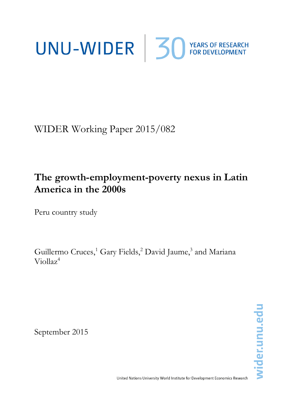# UNU-WIDER | 30 YEARS OF RESEARCH

WIDER Working Paper 2015/082

## **The growth-employment-poverty nexus in Latin America in the 2000s**

Peru country study

Guillermo Cruces,<sup>1</sup> Gary Fields,<sup>2</sup> David Jaume,<sup>3</sup> and Mariana Viollaz<sup>4</sup>

September 2015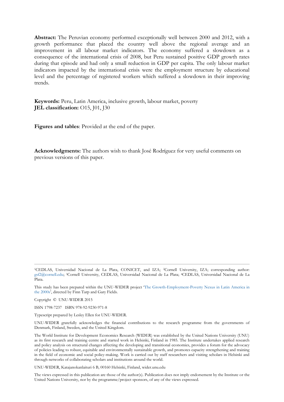**Abstract:** The Peruvian economy performed exceptionally well between 2000 and 2012, with a growth performance that placed the country well above the regional average and an improvement in all labour market indicators. The economy suffered a slowdown as a consequence of the international crisis of 2008, but Peru sustained positive GDP growth rates during that episode and had only a small reduction in GDP per capita. The only labour market indicators impacted by the international crisis were the employment structure by educational level and the percentage of registered workers which suffered a slowdown in their improving trends.

**Keywords:** Peru, Latin America, inclusive growth, labour market, poverty **JEL classification:** O15, J01, J30

**Figures and tables**: Provided at the end of the paper.

**Acknowledgments:** The authors wish to thank José Rodríguez for very useful comments on previous versions of this paper.

This study has been prepared within the UNU-WIDER project '[The Growth-Employment-Poverty Nexus in Latin America in](http://www.wider.unu.edu/research/TIS-programme/inclusion/en_GB/growth-employment-poverty-nexus-latin-america-2000s/)  [the 2000s](http://www.wider.unu.edu/research/TIS-programme/inclusion/en_GB/growth-employment-poverty-nexus-latin-america-2000s/)', directed by Finn Tarp and Gary Fields.

Copyright © UNU-WIDER 2015

ISSN 1798-7237 ISBN 978-92-9230-971-8

Typescript prepared by Lesley Ellen for UNU-WIDER.

UNU-WIDER gratefully acknowledges the financial contributions to the research programme from the governments of Denmark, Finland, Sweden, and the United Kingdom.

The World Institute for Development Economics Research (WIDER) was established by the United Nations University (UNU) as its first research and training centre and started work in Helsinki, Finland in 1985. The Institute undertakes applied research and policy analysis on structural changes affecting the developing and transitional economies, provides a forum for the advocacy of policies leading to robust, equitable and environmentally sustainable growth, and promotes capacity strengthening and training in the field of economic and social policy-making. Work is carried out by staff researchers and visiting scholars in Helsinki and through networks of collaborating scholars and institutions around the world.

UNU-WIDER, Katajanokanlaituri 6 B, 00160 Helsinki, Finland, wider.unu.edu

The views expressed in this publication are those of the author(s). Publication does not imply endorsement by the Institute or the United Nations University, nor by the programme/project sponsors, of any of the views expressed.

<sup>1</sup>CEDLAS, Universidad Nacional de La Plata, CONICET, and IZA; 2Cornell University, IZA; corresponding author: [gsf2@cornell.edu;](mailto:gsf2@cornell.edu) 3Cornell University, CEDLAS, Universidad Nacional de La Plata; 4CEDLAS, Universidad Nacional de La Plata.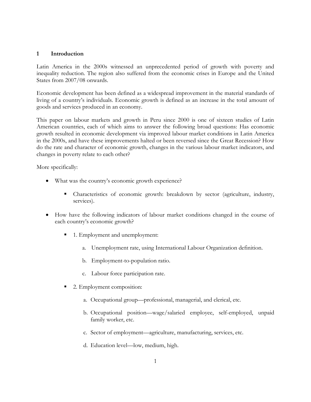#### **1 Introduction**

Latin America in the 2000s witnessed an unprecedented period of growth with poverty and inequality reduction. The region also suffered from the economic crises in Europe and the United States from 2007/08 onwards.

Economic development has been defined as a widespread improvement in the material standards of living of a country's individuals. Economic growth is defined as an increase in the total amount of goods and services produced in an economy.

This paper on labour markets and growth in Peru since 2000 is one of sixteen studies of Latin American countries, each of which aims to answer the following broad questions: Has economic growth resulted in economic development via improved labour market conditions in Latin America in the 2000s, and have these improvements halted or been reversed since the Great Recession? How do the rate and character of economic growth, changes in the various labour market indicators, and changes in poverty relate to each other?

More specifically:

- What was the country's economic growth experience?
	- Characteristics of economic growth: breakdown by sector (agriculture, industry, services).
- How have the following indicators of labour market conditions changed in the course of each country's economic growth?
	- 1. Employment and unemployment:
		- a. Unemployment rate, using International Labour Organization definition.
		- b. Employment-to-population ratio.
		- c. Labour force participation rate.
	- 2. Employment composition:
		- a. Occupational group—professional, managerial, and clerical, etc.
		- b. Occupational position—wage/salaried employee, self-employed, unpaid family worker, etc.
		- c. Sector of employment—agriculture, manufacturing, services, etc.
		- d. Education level—low, medium, high.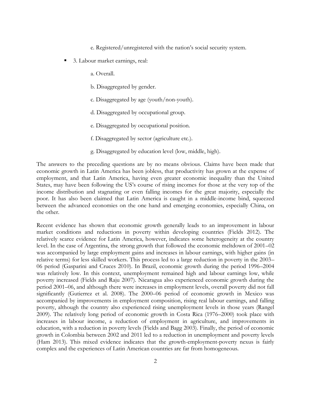- e. Registered/unregistered with the nation's social security system.
- 3. Labour market earnings, real:
	- a. Overall.
	- b. Disaggregated by gender.
	- c. Disaggregated by age (youth/non-youth).
	- d. Disaggregated by occupational group.
	- e. Disaggregated by occupational position.
	- f. Disaggregated by sector (agriculture etc.).
	- g. Disaggregated by education level (low, middle, high).

The answers to the preceding questions are by no means obvious. Claims have been made that economic growth in Latin America has been jobless, that productivity has grown at the expense of employment, and that Latin America, having even greater economic inequality than the United States, may have been following the US's course of rising incomes for those at the very top of the income distribution and stagnating or even falling incomes for the great majority, especially the poor. It has also been claimed that Latin America is caught in a middle-income bind, squeezed between the advanced economies on the one hand and emerging economies, especially China, on the other.

Recent evidence has shown that economic growth generally leads to an improvement in labour market conditions and reductions in poverty within developing countries (Fields 2012). The relatively scarce evidence for Latin America, however, indicates some heterogeneity at the country level. In the case of Argentina, the strong growth that followed the economic meltdown of 2001–02 was accompanied by large employment gains and increases in labour earnings, with higher gains (in relative terms) for less skilled workers. This process led to a large reduction in poverty in the 2003– 06 period (Gasparini and Cruces 2010). In Brazil, economic growth during the period 1996–2004 was relatively low. In this context, unemployment remained high and labour earnings low, while poverty increased (Fields and Raju 2007). Nicaragua also experienced economic growth during the period 2001–06, and although there were increases in employment levels, overall poverty did not fall significantly (Gutierrez et al. 2008). The 2000–06 period of economic growth in Mexico was accompanied by improvements in employment composition, rising real labour earnings, and falling poverty, although the country also experienced rising unemployment levels in those years (Rangel 2009). The relatively long period of economic growth in Costa Rica (1976–2000) took place with increases in labour income, a reduction of employment in agriculture, and improvements in education, with a reduction in poverty levels (Fields and Bagg 2003). Finally, the period of economic growth in Colombia between 2002 and 2011 led to a reduction in unemployment and poverty levels (Ham 2013). This mixed evidence indicates that the growth-employment-poverty nexus is fairly complex and the experiences of Latin American countries are far from homogeneous.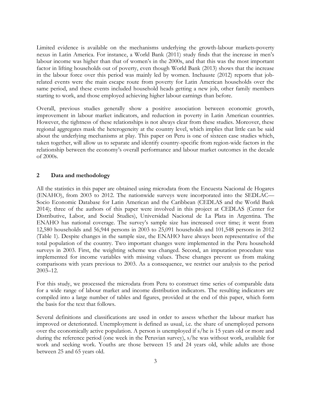Limited evidence is available on the mechanisms underlying the growth-labour markets-poverty nexus in Latin America. For instance, a World Bank (2011) study finds that the increase in men's labour income was higher than that of women's in the 2000s, and that this was the most important factor in lifting households out of poverty, even though World Bank (2013) shows that the increase in the labour force over this period was mainly led by women. Inchauste (2012) reports that jobrelated events were the main escape route from poverty for Latin American households over the same period, and these events included household heads getting a new job, other family members starting to work, and those employed achieving higher labour earnings than before.

Overall, previous studies generally show a positive association between economic growth, improvement in labour market indicators, and reduction in poverty in Latin American countries. However, the tightness of these relationships is not always clear from these studies. Moreover, these regional aggregates mask the heterogeneity at the country level, which implies that little can be said about the underlying mechanisms at play. This paper on Peru is one of sixteen case studies which, taken together, will allow us to separate and identify country-specific from region-wide factors in the relationship between the economy's overall performance and labour market outcomes in the decade of 2000s.

#### **2 Data and methodology**

All the statistics in this paper are obtained using microdata from the Encuesta Nacional de Hogares (ENAHO), from 2003 to 2012. The nationwide surveys were incorporated into the SEDLAC— Socio Economic Database for Latin American and the Caribbean (CEDLAS and the World Bank 2014); three of the authors of this paper were involved in this project at CEDLAS (Center for Distributive, Labor, and Social Studies), Universidad Nacional de La Plata in Argentina. The ENAHO has national coverage. The survey's sample size has increased over time; it went from 12,580 households and 56,944 persons in 2003 to 25,091 households and 101,548 persons in 2012 (Table 1). Despite changes in the sample size, the ENAHO have always been representative of the total population of the country. Two important changes were implemented in the Peru household surveys in 2003. First, the weighting scheme was changed. Second, an imputation procedure was implemented for income variables with missing values. These changes prevent us from making comparisons with years previous to 2003. As a consequence, we restrict our analysis to the period 2003–12.

For this study, we processed the microdata from Peru to construct time series of comparable data for a wide range of labour market and income distribution indicators. The resulting indicators are compiled into a large number of tables and figures, provided at the end of this paper, which form the basis for the text that follows.

Several definitions and classifications are used in order to assess whether the labour market has improved or deteriorated. Unemployment is defined as usual, i.e. the share of unemployed persons over the economically active population. A person is unemployed if s/he is 15 years old or more and during the reference period (one week in the Peruvian survey), s/he was without work, available for work and seeking work. Youths are those between 15 and 24 years old, while adults are those between 25 and 65 years old.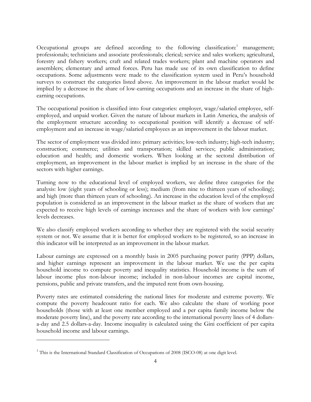Occupational groups are defined according to the following classification: $<sup>1</sup>$  management;</sup> professionals; technicians and associate professionals; clerical; service and sales workers; agricultural, forestry and fishery workers; craft and related trades workers; plant and machine operators and assemblers; elementary and armed forces. Peru has made use of its own classification to define occupations. Some adjustments were made to the classification system used in Peru's household surveys to construct the categories listed above. An improvement in the labour market would be implied by a decrease in the share of low-earning occupations and an increase in the share of highearning occupations.

The occupational position is classified into four categories: employer, wage/salaried employee, selfemployed, and unpaid worker. Given the nature of labour markets in Latin America, the analysis of the employment structure according to occupational position will identify a decrease of selfemployment and an increase in wage/salaried employees as an improvement in the labour market.

The sector of employment was divided into: primary activities; low-tech industry; high-tech industry; construction; commerce; utilities and transportation; skilled services; public administration; education and health; and domestic workers. When looking at the sectoral distribution of employment, an improvement in the labour market is implied by an increase in the share of the sectors with higher earnings.

Turning now to the educational level of employed workers, we define three categories for the analysis: low (eight years of schooling or less); medium (from nine to thirteen years of schooling); and high (more than thirteen years of schooling). An increase in the education level of the employed population is considered as an improvement in the labour market as the share of workers that are expected to receive high levels of earnings increases and the share of workers with low earnings' levels decreases.

We also classify employed workers according to whether they are registered with the social security system or not. We assume that it is better for employed workers to be registered, so an increase in this indicator will be interpreted as an improvement in the labour market.

Labour earnings are expressed on a monthly basis in 2005 purchasing power parity (PPP) dollars, and higher earnings represent an improvement in the labour market. We use the per capita household income to compute poverty and inequality statistics. Household income is the sum of labour income plus non-labour income; included in non-labour incomes are capital income, pensions, public and private transfers, and the imputed rent from own-housing.

Poverty rates are estimated considering the national lines for moderate and extreme poverty. We compute the poverty headcount ratio for each. We also calculate the share of working poor households (those with at least one member employed and a per capita family income below the moderate poverty line), and the poverty rate according to the international poverty lines of 4 dollarsa-day and 2.5 dollars-a-day. Income inequality is calculated using the Gini coefficient of per capita household income and labour earnings.

 $\overline{a}$ 

<sup>&</sup>lt;sup>1</sup> This is the International Standard Classification of Occupations of 2008 (ISCO-08) at one digit level.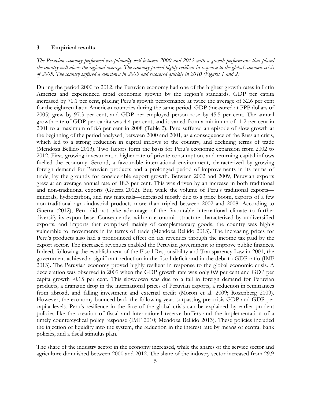#### **3 Empirical results**

*The Peruvian economy performed exceptionally well between 2000 and 2012 with a growth performance that placed the country well above the regional average. The economy proved highly resilient in response to the global economic crisis of 2008. The country suffered a slowdown in 2009 and recovered quickly in 2010 (Figures 1 and 2).* 

During the period 2000 to 2012, the Peruvian economy had one of the highest growth rates in Latin America and experienced rapid economic growth by the region's standards. GDP per capita increased by 71.1 per cent, placing Peru's growth performance at twice the average of 32.6 per cent for the eighteen Latin American countries during the same period. GDP (measured at PPP dollars of 2005) grew by 97.3 per cent, and GDP per employed person rose by 45.5 per cent. The annual growth rate of GDP per capita was 4.4 per cent, and it varied from a minimum of -1.2 per cent in 2001 to a maximum of 8.6 per cent in 2008 (Table 2). Peru suffered an episode of slow growth at the beginning of the period analysed, between 2000 and 2001, as a consequence of the Russian crisis, which led to a strong reduction in capital inflows to the country, and declining terms of trade (Mendoza Bellido 2013). Two factors form the basis for Peru's economic expansion from 2002 to 2012. First, growing investment, a higher rate of private consumption, and returning capital inflows fuelled the economy. Second, a favourable international environment, characterized by growing foreign demand for Peruvian products and a prolonged period of improvements in its terms of trade, lay the grounds for considerable export growth. Between 2002 and 2009, Peruvian exports grew at an average annual rate of 18.3 per cent. This was driven by an increase in both traditional and non-traditional exports (Guerra 2012). But, while the volume of Peru's traditional exports minerals, hydrocarbon, and raw materials—increased mostly due to a price boom, exports of a few non-traditional agro-industrial products more than tripled between 2002 and 2008. According to Guerra (2012), Peru did not take advantage of the favourable international climate to further diversify its export base. Consequently, with an economic structure characterized by undiversified exports, and imports that comprised mainly of complementary goods, the country was highly vulnerable to movements in its terms of trade (Mendoza Bellido 2013). The increasing prices for Peru's products also had a pronounced effect on tax revenues through the income tax paid by the export sector. The increased revenues enabled the Peruvian government to improve public finances. Indeed, following the establishment of the Fiscal Responsibility and Transparency Law in 2001, the government achieved a significant reduction in the fiscal deficit and in the debt-to-GDP ratio (IMF 2013). The Peruvian economy proved highly resilient in response to the global economic crisis. A deceleration was observed in 2009 when the GDP growth rate was only 0.9 per cent and GDP per capita growth -0.15 per cent. This slowdown was due to a fall in foreign demand for Peruvian products, a dramatic drop in the international prices of Peruvian exports, a reduction in remittances from abroad, and falling investment and external credit (Moron et al. 2009; Rozenberg 2009). However, the economy bounced back the following year, surpassing pre-crisis GDP and GDP per capita levels. Peru's resilience in the face of the global crisis can be explained by earlier prudent policies like the creation of fiscal and international reserve buffers and the implementation of a timely countercyclical policy response (IMF 2010; Mendoza Bellido 2013). These policies included the injection of liquidity into the system, the reduction in the interest rate by means of central bank policies, and a fiscal stimulus plan.

The share of the industry sector in the economy increased, while the shares of the service sector and agriculture diminished between 2000 and 2012. The share of the industry sector increased from 29.9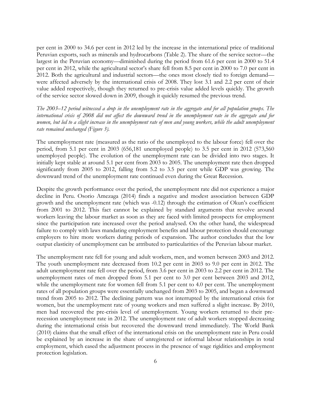per cent in 2000 to 34.6 per cent in 2012 led by the increase in the international price of traditional Peruvian exports, such as minerals and hydrocarbons (Table 2). The share of the service sector—the largest in the Peruvian economy—diminished during the period from 61.6 per cent in 2000 to 51.4 per cent in 2012, while the agricultural sector's share fell from 8.5 per cent in 2000 to 7.0 per cent in 2012. Both the agricultural and industrial sectors—the ones most closely tied to foreign demand were affected adversely by the international crisis of 2008. They lost 3.1 and 2.2 per cent of their value added respectively, though they returned to pre-crisis value added levels quickly. The growth of the service sector slowed down in 2009, though it quickly resumed the previous trend.

*The 2003–12 period witnessed a drop in the unemployment rate in the aggregate and for all population groups. The international crisis of 2008 did not affect the downward trend in the unemployment rate in the aggregate and for women, but led to a slight increase in the unemployment rate of men and young workers, while the adult unemployment rate remained unchanged (Figure 3).* 

The unemployment rate (measured as the ratio of the unemployed to the labour force) fell over the period, from 5.1 per cent in 2003 (656,181 unemployed people) to 3.5 per cent in 2012 (573,560 unemployed people). The evolution of the unemployment rate can be divided into two stages. It initially kept stable at around 5.1 per cent from 2003 to 2005. The unemployment rate then dropped significantly from 2005 to 2012, falling from 5.2 to 3.5 per cent while GDP was growing. The downward trend of the unemployment rate continued even during the Great Recession.

Despite the growth performance over the period, the unemployment rate did not experience a major decline in Peru. Osorio Amezaga (2014) finds a negative and modest association between GDP growth and the unemployment rate (which was -0.12) through the estimation of Okun's coefficient from 2001 to 2012. This fact cannot be explained by standard arguments that revolve around workers leaving the labour market as soon as they are faced with limited prospects for employment since the participation rate increased over the period analysed. On the other hand, the widespread failure to comply with laws mandating employment benefits and labour protection should encourage employers to hire more workers during periods of expansion. The author concludes that the low output elasticity of unemployment can be attributed to particularities of the Peruvian labour market.

The unemployment rate fell for young and adult workers, men, and women between 2003 and 2012. The youth unemployment rate decreased from 10.2 per cent in 2003 to 9.0 per cent in 2012. The adult unemployment rate fell over the period, from 3.6 per cent in 2003 to 2.2 per cent in 2012. The unemployment rates of men dropped from 5.1 per cent to 3.0 per cent between 2003 and 2012, while the unemployment rate for women fell from 5.1 per cent to 4.0 per cent. The unemployment rates of all population groups were essentially unchanged from 2003 to 2005, and began a downward trend from 2005 to 2012. The declining pattern was not interrupted by the international crisis for women, but the unemployment rate of young workers and men suffered a slight increase. By 2010, men had recovered the pre-crisis level of unemployment. Young workers returned to their prerecession unemployment rate in 2012. The unemployment rate of adult workers stopped decreasing during the international crisis but recovered the downward trend immediately. The World Bank (2010) claims that the small effect of the international crisis on the unemployment rate in Peru could be explained by an increase in the share of unregistered or informal labour relationships in total employment, which eased the adjustment process in the presence of wage rigidities and employment protection legislation.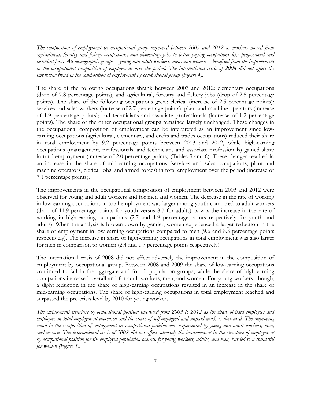*The composition of employment by occupational group improved between 2003 and 2012 as workers moved from agricultural, forestry and fishery occupations, and elementary jobs to better paying occupations like professional and technical jobs. All demographic groups—young and adult workers, men, and women—benefited from the improvement in the occupational composition of employment over the period. The international crisis of 2008 did not affect the improving trend in the composition of employment by occupational group (Figure 4).* 

The share of the following occupations shrank between 2003 and 2012: elementary occupations (drop of 7.8 percentage points); and agricultural, forestry and fishery jobs (drop of 2.5 percentage points). The share of the following occupations grew: clerical (increase of 2.5 percentage points); services and sales workers (increase of 2.7 percentage points); plant and machine operators (increase of 1.9 percentage points); and technicians and associate professionals (increase of 1.2 percentage points). The share of the other occupational groups remained largely unchanged. These changes in the occupational composition of employment can be interpreted as an improvement since lowearning occupations (agricultural, elementary, and crafts and trades occupations) reduced their share in total employment by 9.2 percentage points between 2003 and 2012, while high-earning occupations (management, professionals, and technicians and associate professionals) gained share in total employment (increase of 2.0 percentage points) (Tables 3 and 6). These changes resulted in an increase in the share of mid-earning occupations (services and sales occupations, plant and machine operators, clerical jobs, and armed forces) in total employment over the period (increase of 7.1 percentage points).

The improvements in the occupational composition of employment between 2003 and 2012 were observed for young and adult workers and for men and women. The decrease in the rate of working in low-earning occupations in total employment was larger among youth compared to adult workers (drop of 11.9 percentage points for youth versus 8.7 for adults) as was the increase in the rate of working in high-earning occupations (2.7 and 1.9 percentage points respectively for youth and adults). When the analysis is broken down by gender, women experienced a larger reduction in the share of employment in low-earning occupations compared to men (9.6 and 8.8 percentage points respectively). The increase in share of high-earning occupations in total employment was also larger for men in comparison to women (2.4 and 1.7 percentage points respectively).

The international crisis of 2008 did not affect adversely the improvement in the composition of employment by occupational group. Between 2008 and 2009 the share of low-earning occupations continued to fall in the aggregate and for all population groups, while the share of high-earning occupations increased overall and for adult workers, men, and women. For young workers, though, a slight reduction in the share of high-earning occupations resulted in an increase in the share of mid-earning occupations. The share of high-earning occupations in total employment reached and surpassed the pre-crisis level by 2010 for young workers.

*The employment structure by occupational position improved from 2003 to 2012 as the share of paid employees and employers in total employment increased and the share of self-employed and unpaid workers decreased. The improving trend in the composition of employment by occupational position was experienced by young and adult workers, men,* and women. The international crisis of 2008 did not affect adversely the improvement in the structure of employment *by occupational position for the employed population overall, for young workers, adults, and men, but led to a standstill for women (Figure 5).*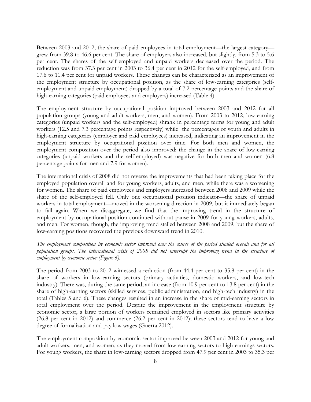Between 2003 and 2012, the share of paid employees in total employment—the largest category grew from 39.8 to 46.6 per cent. The share of employers also increased, but slightly, from 5.3 to 5.6 per cent. The shares of the self-employed and unpaid workers decreased over the period. The reduction was from 37.3 per cent in 2003 to 36.4 per cent in 2012 for the self-employed, and from 17.6 to 11.4 per cent for unpaid workers. These changes can be characterized as an improvement of the employment structure by occupational position, as the share of low-earning categories (selfemployment and unpaid employment) dropped by a total of 7.2 percentage points and the share of high-earning categories (paid employees and employers) increased (Table 4).

The employment structure by occupational position improved between 2003 and 2012 for all population groups (young and adult workers, men, and women). From 2003 to 2012, low-earning categories (unpaid workers and the self-employed) shrank in percentage terms for young and adult workers (12.5 and 7.3 percentage points respectively) while the percentages of youth and adults in high-earning categories (employer and paid employees) increased, indicating an improvement in the employment structure by occupational position over time. For both men and women, the employment composition over the period also improved: the change in the share of low-earning categories (unpaid workers and the self-employed) was negative for both men and women (6.8 percentage points for men and 7.9 for women).

The international crisis of 2008 did not reverse the improvements that had been taking place for the employed population overall and for young workers, adults, and men, while there was a worsening for women. The share of paid employees and employers increased between 2008 and 2009 while the share of the self-employed fell. Only one occupational position indicator—the share of unpaid workers in total employment—moved in the worsening direction in 2009, but it immediately began to fall again. When we disaggregate, we find that the improving trend in the structure of employment by occupational position continued without pause in 2009 for young workers, adults, and men. For women, though, the improving trend stalled between 2008 and 2009, but the share of low-earning positions recovered the previous downward trend in 2010.

*The employment composition by economic sector improved over the course of the period studied overall and for all population groups. The international crisis of 2008 did not interrupt the improving trend in the structure of employment by economic sector (Figure 6).*

The period from 2003 to 2012 witnessed a reduction (from 44.4 per cent to 35.8 per cent) in the share of workers in low-earning sectors (primary activities, domestic workers, and low-tech industry). There was, during the same period, an increase (from 10.9 per cent to 13.8 per cent) in the share of high-earning sectors (skilled services, public administration, and high-tech industry) in the total (Tables 5 and 6). These changes resulted in an increase in the share of mid-earning sectors in total employment over the period. Despite the improvement in the employment structure by economic sector, a large portion of workers remained employed in sectors like primary activities (26.8 per cent in 2012) and commerce (26.2 per cent in 2012); these sectors tend to have a low degree of formalization and pay low wages (Guerra 2012).

The employment composition by economic sector improved between 2003 and 2012 for young and adult workers, men, and women, as they moved from low-earning sectors to high-earnings sectors. For young workers, the share in low-earning sectors dropped from 47.9 per cent in 2003 to 35.3 per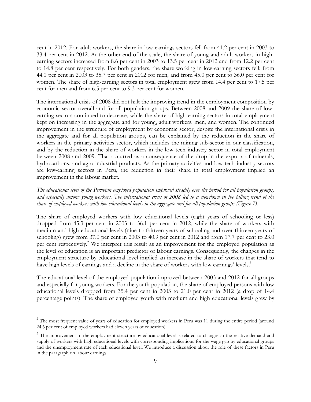cent in 2012. For adult workers, the share in low-earnings sectors fell from 41.2 per cent in 2003 to 33.4 per cent in 2012. At the other end of the scale, the share of young and adult workers in highearning sectors increased from 8.6 per cent in 2003 to 13.5 per cent in 2012 and from 12.2 per cent to 14.8 per cent respectively. For both genders, the share working in low-earning sectors fell: from 44.0 per cent in 2003 to 35.7 per cent in 2012 for men, and from 45.0 per cent to 36.0 per cent for women. The share of high-earning sectors in total employment grew from 14.4 per cent to 17.5 per cent for men and from 6.5 per cent to 9.3 per cent for women.

The international crisis of 2008 did not halt the improving trend in the employment composition by economic sector overall and for all population groups. Between 2008 and 2009 the share of lowearning sectors continued to decrease, while the share of high-earning sectors in total employment kept on increasing in the aggregate and for young, adult workers, men, and women. The continued improvement in the structure of employment by economic sector, despite the international crisis in the aggregate and for all population groups, can be explained by the reduction in the share of workers in the primary activities sector, which includes the mining sub-sector in our classification, and by the reduction in the share of workers in the low-tech industry sector in total employment between 2008 and 2009. That occurred as a consequence of the drop in the exports of minerals, hydrocarbons, and agro-industrial products. As the primary activities and low-tech industry sectors are low-earning sectors in Peru, the reduction in their share in total employment implied an improvement in the labour market.

*The educational level of the Peruvian employed population improved steadily over the period for all population groups, and especially among young workers. The international crisis of 2008 led to a slowdown in the falling trend of the share of employed workers with low educational levels in the aggregate and for all population groups (Figure 7).* 

The share of employed workers with low educational levels (eight years of schooling or less) dropped from 45.3 per cent in 2003 to 36.1 per cent in 2012, while the share of workers with medium and high educational levels (nine to thirteen years of schooling and over thirteen years of schooling) grew from 37.0 per cent in 2003 to 40.9 per cent in 2012 and from 17.7 per cent to 23.0 per cent respectively.<sup>2</sup> We interpret this result as an improvement for the employed population as the level of education is an important predictor of labour earnings. Consequently, the changes in the employment structure by educational level implied an increase in the share of workers that tend to have high levels of earnings and a decline in the share of workers with low earnings' levels.<sup>3</sup>

The educational level of the employed population improved between 2003 and 2012 for all groups and especially for young workers. For the youth population, the share of employed persons with low educational levels dropped from 35.4 per cent in 2003 to 21.0 per cent in 2012 (a drop of 14.4 percentage points). The share of employed youth with medium and high educational levels grew by

 $\overline{a}$ 

<sup>&</sup>lt;sup>2</sup> The most frequent value of years of education for employed workers in Peru was 11 during the entire period (around 24.6 per cent of employed workers had eleven years of education).

 $3$  The improvement in the employment structure by educational level is related to changes in the relative demand and supply of workers with high educational levels with corresponding implications for the wage gap by educational groups and the unemployment rate of each educational level. We introduce a discussion about the role of these factors in Peru in the paragraph on labour earnings.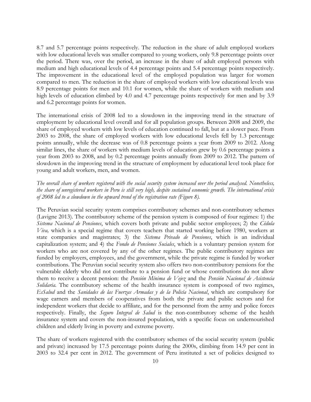8.7 and 5.7 percentage points respectively. The reduction in the share of adult employed workers with low educational levels was smaller compared to young workers, only 9.8 percentage points over the period. There was, over the period, an increase in the share of adult employed persons with medium and high educational levels of 4.4 percentage points and 5.4 percentage points respectively. The improvement in the educational level of the employed population was larger for women compared to men. The reduction in the share of employed workers with low educational levels was 8.9 percentage points for men and 10.1 for women, while the share of workers with medium and high levels of education climbed by 4.0 and 4.7 percentage points respectively for men and by 3.9 and 6.2 percentage points for women.

The international crisis of 2008 led to a slowdown in the improving trend in the structure of employment by educational level overall and for all population groups. Between 2008 and 2009, the share of employed workers with low levels of education continued to fall, but at a slower pace. From 2003 to 2008, the share of employed workers with low educational levels fell by 1.3 percentage points annually, while the decrease was of 0.8 percentage points a year from 2009 to 2012. Along similar lines, the share of workers with medium levels of education grew by 0.6 percentage points a year from 2003 to 2008, and by 0.2 percentage points annually from 2009 to 2012. The pattern of slowdown in the improving trend in the structure of employment by educational level took place for young and adult workers, men, and women.

#### *The overall share of workers registered with the social security system increased over the period analysed. Nonetheless, the share of unregistered workers in Peru is still very high, despite sustained economic growth. The international crisis of 2008 led to a slowdown in the upward trend of the registration rate (Figure 8).*

The Peruvian social security system comprises contributory schemes and non-contributory schemes (Lavigne 2013). The contributory scheme of the pension system is composed of four regimes: 1) the *Sistema Nacional de Pensiones*, which covers both private and public sector employees; 2) the *Cédula Viva,* which is a special regime that covers teachers that started working before 1980, workers at state companies and magistrates; 3) the *Sistema Privado de Pensiones*, which is an individual capitalization system; and 4) the *Fondo de Pensiones Sociales*, which is a voluntary pension system for workers who are not covered by any of the other regimes. The public contributory regimes are funded by employers, employees, and the government, while the private regime is funded by worker contributions. The Peruvian social security system also offers two non-contributory pensions for the vulnerable elderly who did not contribute to a pension fund or whose contributions do not allow them to receive a decent pension: the *Pensión Mínima de Vejez* and the *Pensión Nacional de Asistencia Solidaria.* The contributory scheme of the health insurance system is composed of two regimes, *EsSalud* and the *Sanidades de las Fuerzas Armadas y de la Policía Nacional*, which are compulsory for wage earners and members of cooperatives from both the private and public sectors and for independent workers that decide to affiliate, and for the personnel from the army and police forces respectively. Finally, the *Seguro Integral de Salud* is the non-contributory scheme of the health insurance system and covers the non-insured population, with a specific focus on undernourished children and elderly living in poverty and extreme poverty.

The share of workers registered with the contributory schemes of the social security system (public and private) increased by 17.5 percentage points during the 2000s, climbing from 14.9 per cent in 2003 to 32.4 per cent in 2012. The government of Peru instituted a set of policies designed to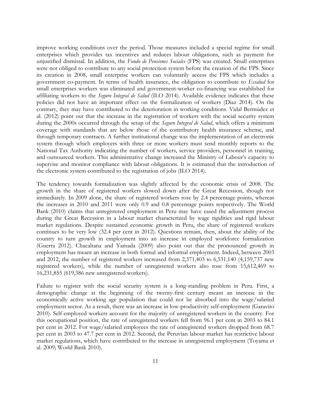improve working conditions over the period. Those measures included a special regime for small enterprises which provides tax incentives and reduces labour obligations, such as payment for unjustified dismissal. In addition, the *Fondo de Pensiones Sociales* (FPS) was created. Small enterprises were not obliged to contribute to any social protection system before the creation of the FPS. Since its creation in 2008, small enterprise workers can voluntarily access the FPS which includes a government co-payment. In terms of health insurance, the obligation to contribute to *Essalud* for small enterprises workers was eliminated and government-worker co-financing was established for affiliating workers to the *Seguro Integral de Salud* (ILO 2014). Available evidence indicates that these policies did not have an important effect on the formalization of workers (Diaz 2014). On the contrary, they may have contributed to the deterioration in working conditions. Vidal Bermúdez et al. (2012) point out that the increase in the registration of workers with the social security system during the 2000s occurred through the setup of the *Seguro Integral de Salud*, which offers a minimum coverage with standards that are below those of the contributory health insurance scheme, and through temporary contracts. A further institutional change was the implementation of an electronic system through which employers with three or more workers must send monthly reports to the National Tax Authority indicating the number of workers, service providers, personnel in training, and outsourced workers. This administrative change increased the Ministry of Labour's capacity to supervise and monitor compliance with labour obligations. It is estimated that the introduction of the electronic system contributed to the registration of jobs (ILO 2014).

The tendency towards formalization was slightly affected by the economic crisis of 2008. The growth in the share of registered workers slowed down after the Great Recession, though not immediately. In 2009 alone, the share of registered workers rose by 2.4 percentage points, whereas the increases in 2010 and 2011 were only 0.9 and 0.8 percentage points respectively. The World Bank (2010) claims that unregistered employment in Peru may have eased the adjustment process during the Great Recession in a labour market characterized by wage rigidities and rigid labour market regulations. Despite sustained economic growth in Peru, the share of registered workers continues to be very low (32.4 per cent in 2012). Questions remain, then, about the ability of the country to turn growth in employment into an increase in employed workforce formalization (Guerra 2012). Chacaltana and Yamada (2009) also point out that the pronounced growth in employment has meant an increase in both formal and informal employment. Indeed, between 2003 and 2012, the number of registered workers increased from 2,371,403 to 6,531,140 (4,159,737 new registered workers), while the number of unregistered workers also rose from 15,612,469 to 16,231,855 (619,386 new unregistered workers).

Failure to register with the social security system is a long-standing problem in Peru. First, a demographic change at the beginning of the twenty-first century meant an increase in the economically active working age population that could not be absorbed into the wage/salaried employment sector. As a result, there was an increase in low-productivity self-employment (Garavito 2010). Self-employed workers account for the majority of unregistered workers in the country. For this occupational position, the rate of unregistered workers fell from 96.1 per cent in 2003 to 84.1 per cent in 2012. For wage/salaried employees the rate of unregistered workers dropped from 68.7 per cent in 2003 to 47.7 per cent in 2012. Second, the Peruvian labour market has restrictive labour market regulations, which have contributed to the increase in unregistered employment (Toyama et al. 2009; World Bank 2010).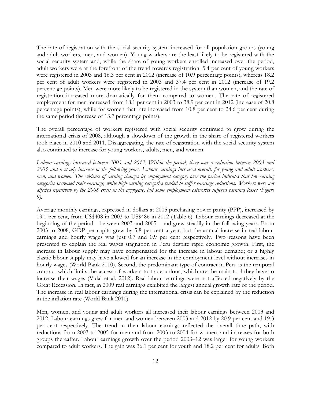The rate of registration with the social security system increased for all population groups (young and adult workers, men, and women). Young workers are the least likely to be registered with the social security system and, while the share of young workers enrolled increased over the period, adult workers were at the forefront of the trend towards registration: 5.4 per cent of young workers were registered in 2003 and 16.3 per cent in 2012 (increase of 10.9 percentage points), whereas 18.2 per cent of adult workers were registered in 2003 and 37.4 per cent in 2012 (increase of 19.2 percentage points). Men were more likely to be registered in the system than women, and the rate of registration increased more dramatically for them compared to women. The rate of registered employment for men increased from 18.1 per cent in 2003 to 38.9 per cent in 2012 (increase of 20.8 percentage points), while for women that rate increased from 10.8 per cent to 24.6 per cent during the same period (increase of 13.7 percentage points).

The overall percentage of workers registered with social security continued to grow during the international crisis of 2008, although a slowdown of the growth in the share of registered workers took place in 2010 and 2011. Disaggregating, the rate of registration with the social security system also continued to increase for young workers, adults, men, and women.

*Labour earnings increased between 2003 and 2012. Within the period, there was a reduction between 2003 and 2005 and a steady increase in the following years. Labour earnings increased overall, for young and adult workers, men, and women. The evidence of earning changes by employment category over the period indicates that low-earning categories increased their earnings, while high-earning categories tended to suffer earnings reductions. Workers were not affected negatively by the 2008 crisis in the aggregate, but some employment categories suffered earnings losses (Figure 9).* 

Average monthly earnings, expressed in dollars at 2005 purchasing power parity (PPP), increased by 19.1 per cent, from US\$408 in 2003 to US\$486 in 2012 (Table 6). Labour earnings decreased at the beginning of the period—between 2003 and 2005—and grew steadily in the following years. From 2003 to 2008, GDP per capita grew by 5.8 per cent a year, but the annual increase in real labour earnings and hourly wages was just 0.7 and 0.9 per cent respectively. Two reasons have been presented to explain the real wages stagnation in Peru despite rapid economic growth. First, the increase in labour supply may have compensated for the increase in labour demand; or a highly elastic labour supply may have allowed for an increase in the employment level without increases in hourly wages (World Bank 2010). Second, the predominant type of contract in Peru is the temporal contract which limits the access of workers to trade unions, which are the main tool they have to increase their wages (Vidal et al. 2012). Real labour earnings were not affected negatively by the Great Recession. In fact, in 2009 real earnings exhibited the largest annual growth rate of the period. The increase in real labour earnings during the international crisis can be explained by the reduction in the inflation rate (World Bank 2010).

Men, women, and young and adult workers all increased their labour earnings between 2003 and 2012. Labour earnings grew for men and women between 2003 and 2012 by 20.9 per cent and 19.3 per cent respectively. The trend in their labour earnings reflected the overall time path, with reductions from 2003 to 2005 for men and from 2003 to 2004 for women, and increases for both groups thereafter. Labour earnings growth over the period 2003–12 was larger for young workers compared to adult workers. The gain was 36.1 per cent for youth and 18.2 per cent for adults. Both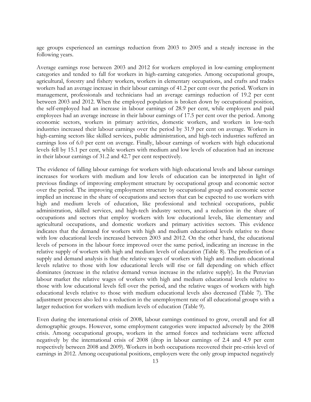age groups experienced an earnings reduction from 2003 to 2005 and a steady increase in the following years.

Average earnings rose between 2003 and 2012 for workers employed in low-earning employment categories and tended to fall for workers in high-earning categories. Among occupational groups, agricultural, forestry and fishery workers, workers in elementary occupations, and crafts and trades workers had an average increase in their labour earnings of 41.2 per cent over the period. Workers in management, professionals and technicians had an average earnings reduction of 19.2 per cent between 2003 and 2012. When the employed population is broken down by occupational position, the self-employed had an increase in labour earnings of 28.9 per cent, while employers and paid employees had an average increase in their labour earnings of 17.5 per cent over the period. Among economic sectors, workers in primary activities, domestic workers, and workers in low-tech industries increased their labour earnings over the period by 31.9 per cent on average. Workers in high-earning sectors like skilled services, public administration, and high-tech industries suffered an earnings loss of 6.0 per cent on average. Finally, labour earnings of workers with high educational levels fell by 15.1 per cent, while workers with medium and low levels of education had an increase in their labour earnings of 31.2 and 42.7 per cent respectively.

The evidence of falling labour earnings for workers with high educational levels and labour earnings increases for workers with medium and low levels of education can be interpreted in light of previous findings of improving employment structure by occupational group and economic sector over the period. The improving employment structure by occupational group and economic sector implied an increase in the share of occupations and sectors that can be expected to use workers with high and medium levels of education, like professional and technical occupations, public administration, skilled services, and high-tech industry sectors, and a reduction in the share of occupations and sectors that employ workers with low educational levels, like elementary and agricultural occupations, and domestic workers and primary activities sectors. This evidence indicates that the demand for workers with high and medium educational levels relative to those with low educational levels increased between 2003 and 2012. On the other hand, the educational levels of persons in the labour force improved over the same period, indicating an increase in the relative supply of workers with high and medium levels of education (Table 8). The prediction of a supply and demand analysis is that the relative wages of workers with high and medium educational levels relative to those with low educational levels will rise or fall depending on which effect dominates (increase in the relative demand versus increase in the relative supply). In the Peruvian labour market the relative wages of workers with high and medium educational levels relative to those with low educational levels fell over the period, and the relative wages of workers with high educational levels relative to those with medium educational levels also decreased (Table 7). The adjustment process also led to a reduction in the unemployment rate of all educational groups with a larger reduction for workers with medium levels of education (Table 9).

Even during the international crisis of 2008, labour earnings continued to grow, overall and for all demographic groups. However, some employment categories were impacted adversely by the 2008 crisis. Among occupational groups, workers in the armed forces and technicians were affected negatively by the international crisis of 2008 (drop in labour earnings of 2.4 and 4.9 per cent respectively between 2008 and 2009). Workers in both occupations recovered their pre-crisis level of earnings in 2012. Among occupational positions, employers were the only group impacted negatively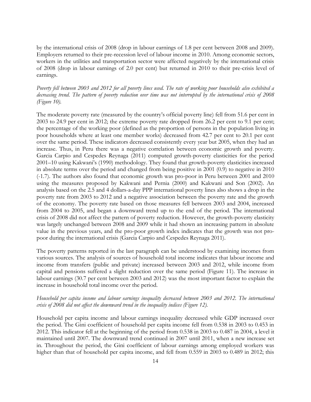by the international crisis of 2008 (drop in labour earnings of 1.8 per cent between 2008 and 2009). Employers returned to their pre-recession level of labour income in 2010. Among economic sectors, workers in the utilities and transportation sector were affected negatively by the international crisis of 2008 (drop in labour earnings of 2.0 per cent) but returned in 2010 to their pre-crisis level of earnings.

*Poverty fell between 2003 and 2012 for all poverty lines used. The rate of working poor households also exhibited a decreasing trend. The pattern of poverty reduction over time was not interrupted by the international crisis of 2008 (Figure 10).* 

The moderate poverty rate (measured by the country's official poverty line) fell from 51.6 per cent in 2003 to 24.9 per cent in 2012; the extreme poverty rate dropped from 26.2 per cent to 9.1 per cent; the percentage of the working poor (defined as the proportion of persons in the population living in poor households where at least one member works) decreased from 42.7 per cent to 20.1 per cent over the same period. These indicators decreased consistently every year but 2005, when they had an increase. Thus, in Peru there was a negative correlation between economic growth and poverty. Garcia Carpio and Cespedes Reynaga (2011) computed growth-poverty elasticities for the period 2001–10 using Kakwani's (1990) methodology. They found that growth-poverty elasticities increased in absolute terms over the period and changed from being positive in 2001 (0.9) to negative in 2010 (-1.7). The authors also found that economic growth was pro-poor in Peru between 2001 and 2010 using the measures proposed by Kakwani and Pernia (2000) and Kakwani and Son (2002). An analysis based on the 2.5 and 4 dollars-a-day PPP international poverty lines also shows a drop in the poverty rate from 2003 to 2012 and a negative association between the poverty rate and the growth of the economy. The poverty rate based on those measures fell between 2003 and 2004, increased from 2004 to 2005, and began a downward trend up to the end of the period. The international crisis of 2008 did not affect the pattern of poverty reduction. However, the growth-poverty elasticity was largely unchanged between 2008 and 2009 while it had shown an increasing pattern in absolute value in the previous years, and the pro-poor growth index indicates that the growth was not propoor during the international crisis (Garcia Carpio and Cespedes Reynaga 2011).

The poverty patterns reported in the last paragraph can be understood by examining incomes from various sources. The analysis of sources of household total income indicates that labour income and income from transfers (public and private) increased between 2003 and 2012, while income from capital and pensions suffered a slight reduction over the same period (Figure 11). The increase in labour earnings (30.7 per cent between 2003 and 2012) was the most important factor to explain the increase in household total income over the period.

#### *Household per capita income and labour earnings inequality decreased between 2003 and 2012. The international crisis of 2008 did not affect the downward trend in the inequality indices (Figure 12).*

Household per capita income and labour earnings inequality decreased while GDP increased over the period. The Gini coefficient of household per capita income fell from 0.538 in 2003 to 0.453 in 2012. This indicator fell at the beginning of the period from 0.538 in 2003 to 0.487 in 2004, a level it maintained until 2007. The downward trend continued in 2007 until 2011, when a new increase set in. Throughout the period, the Gini coefficient of labour earnings among employed workers was higher than that of household per capita income, and fell from 0.559 in 2003 to 0.489 in 2012; this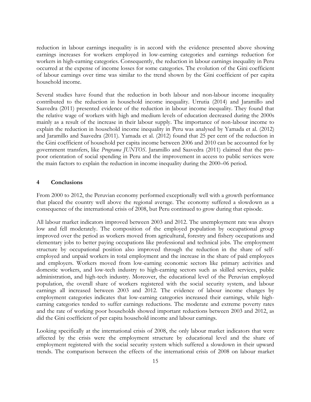reduction in labour earnings inequality is in accord with the evidence presented above showing earnings increases for workers employed in low-earning categories and earnings reduction for workers in high-earning categories. Consequently, the reduction in labour earnings inequality in Peru occurred at the expense of income losses for some categories. The evolution of the Gini coefficient of labour earnings over time was similar to the trend shown by the Gini coefficient of per capita household income.

Several studies have found that the reduction in both labour and non-labour income inequality contributed to the reduction in household income inequality. Urrutia (2014) and Jaramillo and Saavedra (2011) presented evidence of the reduction in labour income inequality. They found that the relative wage of workers with high and medium levels of education decreased during the 2000s mainly as a result of the increase in their labour supply. The importance of non-labour income to explain the reduction in household income inequality in Peru was analysed by Yamada et al. (2012) and Jaramillo and Saavedra (2011). Yamada et al. (2012) found that 25 per cent of the reduction in the Gini coefficient of household per capita income between 2006 and 2010 can be accounted for by government transfers, like *Programa JUNTOS*. Jaramillo and Saavedra (2011) claimed that the propoor orientation of social spending in Peru and the improvement in access to public services were the main factors to explain the reduction in income inequality during the 2000–06 period.

#### **4 Conclusions**

From 2000 to 2012, the Peruvian economy performed exceptionally well with a growth performance that placed the country well above the regional average. The economy suffered a slowdown as a consequence of the international crisis of 2008, but Peru continued to grow during that episode.

All labour market indicators improved between 2003 and 2012. The unemployment rate was always low and fell moderately. The composition of the employed population by occupational group improved over the period as workers moved from agricultural, forestry and fishery occupations and elementary jobs to better paying occupations like professional and technical jobs. The employment structure by occupational position also improved through the reduction in the share of selfemployed and unpaid workers in total employment and the increase in the share of paid employees and employers. Workers moved from low-earning economic sectors like primary activities and domestic workers, and low-tech industry to high-earning sectors such as skilled services, public administration, and high-tech industry. Moreover, the educational level of the Peruvian employed population, the overall share of workers registered with the social security system, and labour earnings all increased between 2003 and 2012. The evidence of labour income changes by employment categories indicates that low-earning categories increased their earnings, while highearning categories tended to suffer earnings reductions. The moderate and extreme poverty rates and the rate of working poor households showed important reductions between 2003 and 2012, as did the Gini coefficient of per capita household income and labour earnings.

Looking specifically at the international crisis of 2008, the only labour market indicators that were affected by the crisis were the employment structure by educational level and the share of employment registered with the social security system which suffered a slowdown in their upward trends. The comparison between the effects of the international crisis of 2008 on labour market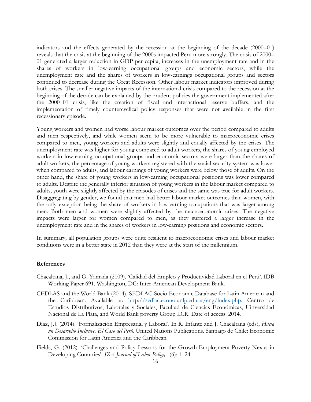indicators and the effects generated by the recession at the beginning of the decade (2000–01) reveals that the crisis at the beginning of the 2000s impacted Peru more strongly. The crisis of 2000– 01 generated a larger reduction in GDP per capita, increases in the unemployment rate and in the shares of workers in low-earning occupational groups and economic sectors, while the unemployment rate and the shares of workers in low-earnings occupational groups and sectors continued to decrease during the Great Recession. Other labour market indicators improved during both crises. The smaller negative impacts of the international crisis compared to the recession at the beginning of the decade can be explained by the prudent policies the government implemented after the 2000–01 crisis, like the creation of fiscal and international reserve buffers, and the implementation of timely countercyclical policy responses that were not available in the first recessionary episode.

Young workers and women had worse labour market outcomes over the period compared to adults and men respectively, and while women seem to be more vulnerable to macroeconomic crises compared to men, young workers and adults were slightly and equally affected by the crises. The unemployment rate was higher for young compared to adult workers, the shares of young employed workers in low-earning occupational groups and economic sectors were larger than the shares of adult workers, the percentage of young workers registered with the social security system was lower when compared to adults, and labour earnings of young workers were below those of adults. On the other hand, the share of young workers in low-earning occupational positions was lower compared to adults. Despite the generally inferior situation of young workers in the labour market compared to adults, youth were slightly affected by the episodes of crises and the same was true for adult workers. Disaggregating by gender, we found that men had better labour market outcomes than women, with the only exception being the share of workers in low-earning occupations that was larger among men. Both men and women were slightly affected by the macroeconomic crises. The negative impacts were larger for women compared to men, as they suffered a larger increase in the unemployment rate and in the shares of workers in low-earning positions and economic sectors.

In summary, all population groups were quite resilient to macroeconomic crises and labour market conditions were in a better state in 2012 than they were at the start of the millennium.

#### **References**

- Chacaltana, J., and G. Yamada (2009). 'Calidad del Empleo y Productividad Laboral en el Perú'. IDB Working Paper 691. Washington, DC: Inter-American Development Bank.
- CEDLAS and the World Bank (2014). SEDLAC-Socio Economic Database for Latin American and the Caribbean. Available at: [http://sedlac.econo.unlp.edu.ar/eng/index.php.](http://sedlac.econo.unlp.edu.ar/eng/index.php) Centro de Estudios Distributivos, Laborales y Sociales, Facultad de Ciencias Económicas, Uinversidad Nacional de La Plata, and World Bank poverty Group LCR. Date of access: 2014.
- Díaz, J.J. (2014). 'Formalización Empresarial y Laboral'. In R. Infante and J. Chacaltana (eds), *Hacia un Desarrollo Inclusive. El Caso del Perú*. United Nations Publications. Santiago de Chile: Economic Commission for Latin America and the Caribbean.
- Fields, G. (2012). 'Challenges and Policy Lessons for the Growth-Employment-Poverty Nexus in Developing Countries'. *IZA Journal of Labor Policy,* 1(6): 1–24.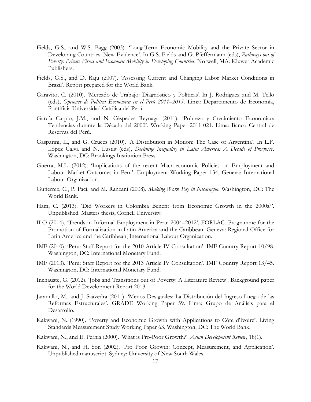- Fields, G.S., and W.S. Bagg (2003). 'Long-Term Economic Mobility and the Private Sector in Developing Countries: New Evidence'. In G.S. Fields and G. Pfeffermann (eds), *Pathways out of Poverty: Private Firms and Economic Mobility in Developing Countries*. Norwell, MA: Kluwer Academic Publishers.
- Fields, G.S., and D. Raju (2007). 'Assessing Current and Changing Labor Market Conditions in Brazil'. Report prepared for the World Bank.
- Garavito, C. (2010). '[Mercado de Trabajo: Diagnóstico y Políticas](http://ideas.repec.org/h/pcp/pucchp/lde-2010-04-03.html)'. In J. Rodríguez and M. Tello (eds), *Opciones de Política Económica en el Perú 2011–2015*. Lima: Departamento de Economía, Pontificia Universidad Católica del Perú.
- García Carpio, J.M., and N. Céspedes Reynaga (2011). 'Pobreza y Crecimiento Económico: Tendencias durante la Década del 2000'. Working Paper 2011-021. Lima: Banco Central de Reservas del Perú.
- Gasparini, L., and G. Cruces (2010). 'A Distribution in Motion: The Case of Argentina'. In L.F. López Calva and N. Lustig (eds), *Declining Inequality in Latin America: A Decade of Progress?*. Washington, DC: Brookings Institution Press.
- Guerra, M.L. (2012). 'Implications of the recent Macroeconomic Policies on Employment and Labour Market Outcomes in Peru'. Employment Working Paper 134. Geneva: International Labour Organization.
- Gutierrez, C., P. Paci, and M. Ranzani (2008). *Making Work Pay in Nicaragua*. Washington, DC: The World Bank.
- Ham, C. (2013). 'Did Workers in Colombia Benefit from Economic Growth in the 2000s?'. Unpublished. Masters thesis, Cornell University.
- ILO (2014). 'Trends in Informal Employment in Peru: 2004–2012'. FORLAC. Programme for the Promotion of Formalization in Latin America and the Caribbean. Geneva: Regional Office for Latin America and the Caribbean, International Labour Organization.
- IMF (2010). 'Peru: Staff Report for the 2010 Article IV Consultation'. IMF Country Report 10/98. Washington, DC: International Monetary Fund.
- IMF (2013). 'Peru: Staff Report for the 2013 Article IV Consultation'. IMF Country Report 13/45. Washington, DC: International Monetary Fund.
- Inchauste, G. (2012). 'Jobs and Transitions out of Poverty: A Literature Review'. Background paper for the World Development Report 2013.
- Jaramillo, M., and J. Saavedra (2011). 'Menos Desiguales: La Distribución del Ingreso Luego de las Reformas Estructurales'. GRADE Working Paper 59. Lima: Grupo de Análisis para el Desarrollo.
- Kakwani, N. (1990). 'Poverty and Economic Growth with Applications to Côte d'Ivoire'. Living Standards Measurement Study Working Paper 63. Washington, DC: The World Bank.
- Kakwani, N., and E. Pernia (2000). 'What is Pro-Poor Growth?'. *Asian Development Review*, 18(1).
- Kakwani, N., and H. Son (2002). 'Pro Poor Growth: Concept, Measurement, and Application'. Unpublished manuscript. Sydney: University of New South Wales.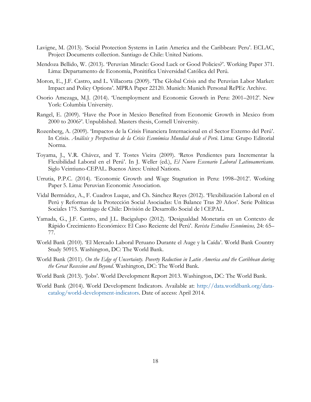- Lavigne, M. (2013). 'Social Protection Systems in Latin America and the Caribbean: Peru'. ECLAC, Project Documents collection. Santiago de Chile: United Nations.
- Mendoza Bellido, W. (2013). 'Peruvian Miracle: Good Luck or Good Policies?'. Working Paper 371. Lima: Departamento de Economía, Ponitifica Universidad Católica del Perú.
- Moron, E., J.F. Castro, and L. Villacorta (2009). 'The Global Crisis and the Peruvian Labor Market: Impact and Policy Options'. MPRA Paper 22120. Munich: Munich Personal RePEc Archive.
- Osorio Amezaga, M.J. (2014). 'Unemployment and Economic Growth in Peru: 2001–2012'. New York: Columbia University.
- Rangel, E. (2009). 'Have the Poor in Mexico Benefited from Economic Growth in Mexico from 2000 to 2006?'. Unpublished. Masters thesis, Cornell University.
- Rozenberg, A. (2009). 'Impactos de la Crisis Financiera Internacional en el Sector Externo del Perú'. In Crisis. *Análisis y Perspectivas de la Crisis Económica Mundial desde el Perú*. Lima: Grupo Editorial Norma.
- Toyama, J., V.R. Chávez, and T. Tostes Vieira (2009). 'Retos Pendientes para Incrementar la Flexibilidad Laboral en el Perú'. In J. Weller (ed.), *El Nuevo Escenario Laboral Latinoamericano*. Siglo Veintiuno-CEPAL. Buenos Aires: United Nations.
- Urrutia, P.P.C. (2014). 'Economic Growth and Wage Stagnation in Peru: 1998–2012'. Working Paper 5. Lima: Peruvian Economic Association.
- Vidal Bermúdez, A., F. Cuadros Luque, and Ch. Sánchez Reyes (2012). 'Flexibilización Laboral en el Perú y Reformas de la Protección Social Asociadas: Un Balance Tras 20 Años'. Serie Políticas Sociales 175. Santiago de Chile: División de Desarrollo Social de l CEPAL.
- Yamada, G., J.F. Castro, and J.L. Bacigalupo (2012). 'Desigualdad Monetaria en un Contexto de Rápido Crecimiento Económico: El Caso Reciente del Perú'. *Revista Estudios Económicos,* 24: 65– 77.
- World Bank (2010). 'El Mercado Laboral Peruano Durante el Auge y la Caída'. World Bank Country Study 50915. Washington, DC: The World Bank.
- World Bank (2011). *On the Edge of Uncertainty. Poverty Reduction in Latin America and the Caribbean during the Great Recession and Beyond*. Washington, DC: The World Bank.
- World Bank (2013). 'Jobs'. World Development Report 2013. Washington, DC: The World Bank.
- World Bank (2014). World Development Indicators. Available at: [http://data.worldbank.org/data](http://data.worldbank.org/data-catalog/world-development-indicators)[catalog/world-development-indicators.](http://data.worldbank.org/data-catalog/world-development-indicators) Date of access: April 2014.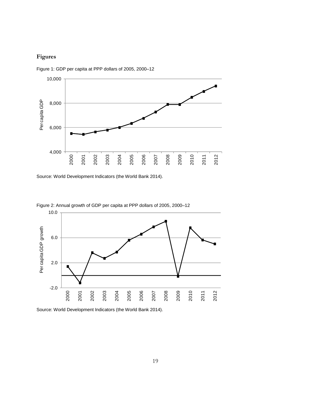#### **Figures**



Figure 1: GDP per capita at PPP dollars of 2005, 2000–12

Source: World Development Indicators (the World Bank 2014).



Figure 2: Annual growth of GDP per capita at PPP dollars of 2005, 2000–12

Source: World Development Indicators (the World Bank 2014).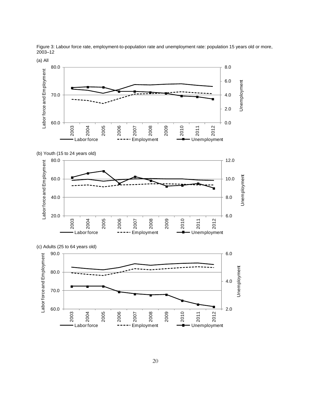

Figure 3: Labour force rate, employment-to-population rate and unemployment rate: population 15 years old or more, 2003–12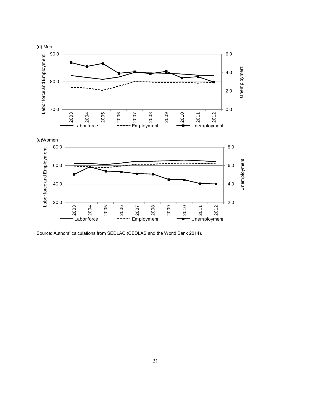

Source: Authors' calculations from SEDLAC (CEDLAS and the World Bank 2014).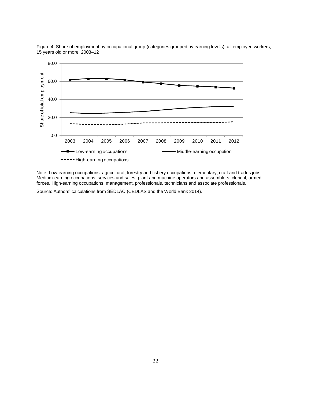

Figure 4: Share of employment by occupational group (categories grouped by earning levels): all employed workers, 15 years old or more, 2003–12

Note: Low-earning occupations: agricultural, forestry and fishery occupations, elementary, craft and trades jobs. Medium-earning occupations: services and sales, plant and machine operators and assemblers, clerical, armed forces. High-earning occupations: management, professionals, technicians and associate professionals.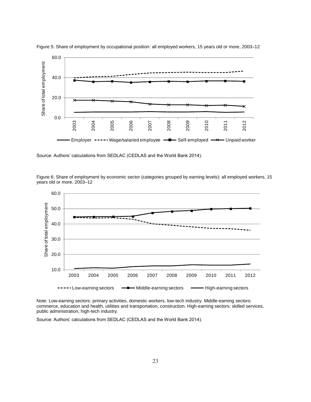

Figure 5: Share of employment by occupational position: all employed workers, 15 years old or more, 2003–12

Source: Authors' calculations from SEDLAC (CEDLAS and the World Bank 2014).

Figure 6: Share of employment by economic sector (categories grouped by earning levels): all employed workers, 15 years old or more, 2003–12



Note: Low-earning sectors: primary activities, domestic workers, low-tech industry. Middle-earning sectors: commerce, education and health, utilities and transportation, construction. High-earning sectors: skilled services, public administration, high-tech industry.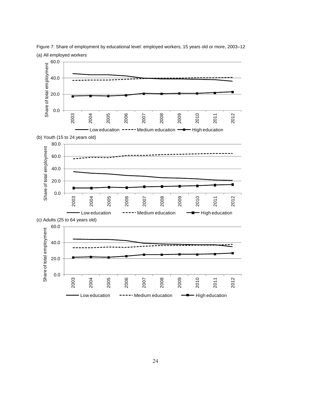

Figure 7: Share of employment by educational level: employed workers, 15 years old or more, 2003–12 (a) All employed workers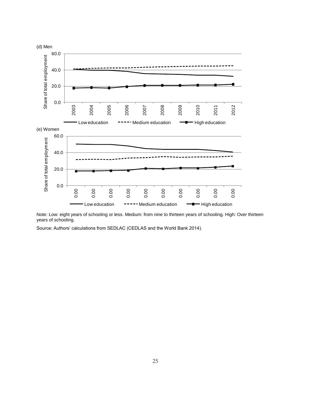

Note: Low: eight years of schooling or less. Medium: from nine to thirteen years of schooling. High: Over thirteen years of schooling.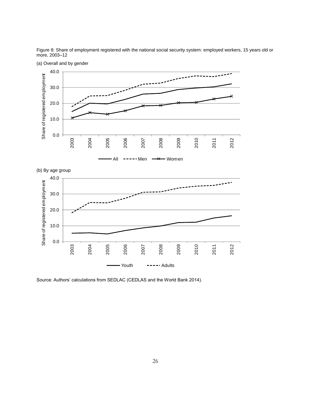



(a) Overall and by gender

Source: Authors' calculations from SEDLAC (CEDLAS and the World Bank 2014).

Youth Adults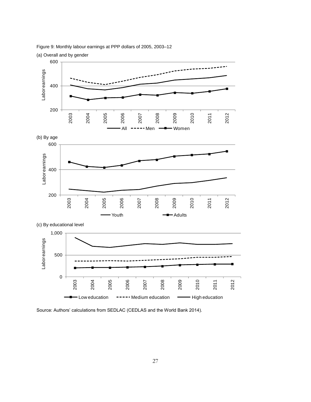

Figure 9: Monthly labour earnings at PPP dollars of 2005, 2003–12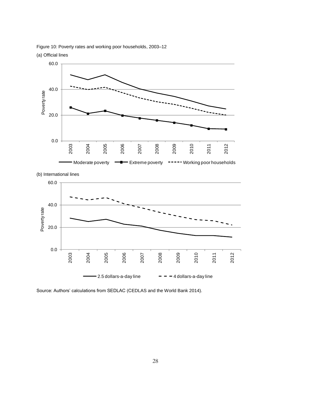Figure 10: Poverty rates and working poor households, 2003–12 (a) Official lines



(b) International lines

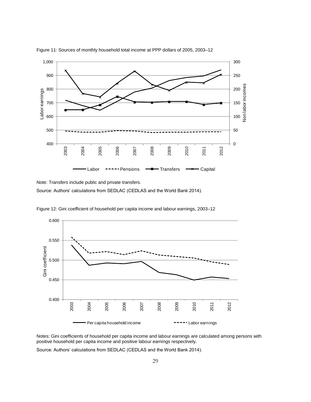

Figure 11: Sources of monthly household total income at PPP dollars of 2005, 2003–12



Figure 12: Gini coefficient of household per capita income and labour earnings, 2003–12

Notes: Gini coefficients of household per capita income and labour earnings are calculated among persons with positive household per capita income and positive labour earnings respectively.

Note: Transfers include public and private transfers.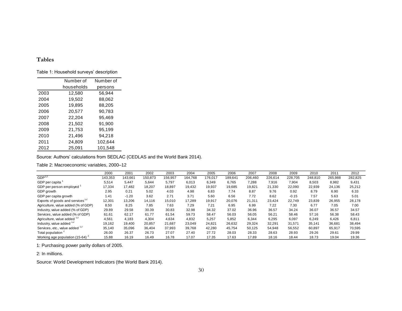#### **Tables**

Table 1: Household surveys' description

|      | Number of  | Number of |
|------|------------|-----------|
|      | households | persons   |
| 2003 | 12,580     | 56,944    |
| 2004 | 19,502     | 88,062    |
| 2005 | 19,895     | 88,205    |
| 2006 | 20,577     | 90,783    |
| 2007 | 22,204     | 95,469    |
| 2008 | 21,502     | 91,900    |
| 2009 | 21,753     | 95,199    |
| 2010 | 21,496     | 94,218    |
| 2011 | 24,809     | 102,644   |
| 2012 | 25,091     | 101,548   |

Source: Authors' calculations from SEDLAC (CEDLAS and the World Bank 2014).

Table 2: Macroeconomic variables, 2000–12

|                                              | 2000    | 2001    | 2002    | 2003    | 2004    | 2005    | 2006    | 2007    | 2008    | 2009    | 2010    | 2011    | 2012    |
|----------------------------------------------|---------|---------|---------|---------|---------|---------|---------|---------|---------|---------|---------|---------|---------|
| GDP <sup>1,2</sup>                           | 143,353 | 143,661 | 150,873 | 156,957 | 164,768 | 176,017 | 189,641 | 206,460 | 226,614 | 228,705 | 248,810 | 265,988 | 282,825 |
| GDP per capita                               | 5,514   | 5.447   | 5.644   | 5.797   | 6,013   | 6,349   | 6.765   | 7.288   | 7.916   | 7.904   | 8.503   | 8,982   | 9.431   |
| GDP per person employed                      | 17,334  | 17,482  | 18,207  | 18,897  | 19,432  | 19,937  | 19,685  | 19,821  | 21,330  | 22,090  | 22,939  | 24,136  | 25,212  |
| GDP growth                                   | 2.95    | 0.21    | 5.02    | 4.03    | 4.98    | 6.83    | 7.74    | 8.87    | 9.76    | 0.92    | 8.79    | 6.90    | 6.33    |
| GDP per capita growth                        | 1.41    | $-1.20$ | 3.62    | 2.71    | 3.71    | 5.60    | 6.56    | 7.72    | 8.62    | $-0.15$ | 7.57    | 5.63    | 5.01    |
| Exports of goods and services <sup>1,2</sup> | 12,301  | 13,206  | 14.116  | 15,010  | 17.289  | 19,917  | 20,076  | 21,311  | 23,424  | 22.749  | 23,839  | 26,955  | 28,178  |
| Agriculture, value added (% of GDP)          | 8.50    | 8.25    | 7.85    | 7.63    | 7.29    | 7.21    | 6.95    | 6.99    | 7.22    | 7.30    | 6.77    | 7.05    | 7.00    |
| Industry, value added (% of GDP)             | 29.89   | 29.58   | 30.39   | 30.83   | 32.98   | 34.32   | 37.02   | 36.96   | 36.57   | 34.24   | 36.07   | 36.57   | 34.57   |
| Services, value added (% of GDP)             | 61.61   | 62.17   | 61.77   | 61.54   | 59.73   | 58.47   | 56.03   | 56.05   | 56.21   | 58.46   | 57.16   | 56.38   | 58.43   |
| Agriculture, value added 1,2                 | 4,561   | 4,183   | 4,304   | 4,634   | 4,832   | 5,257   | 5,852   | 6,344   | 6,295   | 6,097   | 6,249   | 6,426   | 6,811   |
| Industry, value added <sup>1,2</sup>         | 19,162  | 19.400  | 20,857  | 21,687  | 23,049  | 24,821  | 26,632  | 29,324  | 32,291  | 31,571  | 35.141  | 36,681  | 38,494  |
| Services, etc., value added <sup>1,2</sup>   | 35,140  | 35,096  | 36,404  | 37,993  | 39,768  | 42,280  | 45,754  | 50,125  | 54,948  | 56,552  | 60,897  | 65,917  | 70,595  |
| Total population <sup>2</sup>                | 26.00   | 26.37   | 26.73   | 27.07   | 27.40   | 27.72   | 28.03   | 28.33   | 28.63   | 28.93   | 29.26   | 29.61   | 29.99   |
| Working age population (15-64) $2$           | 15.88   | 16.19   | 16.49   | 16.78   | 17.07   | 17.35   | 17.63   | 17.89   | 18.16   | 18.44   | 18.73   | 19.04   | 19.36   |

1: Purchasing power parity dollars of 2005.

2: In millions.

Source: World Development Indicators (the World Bank 2014).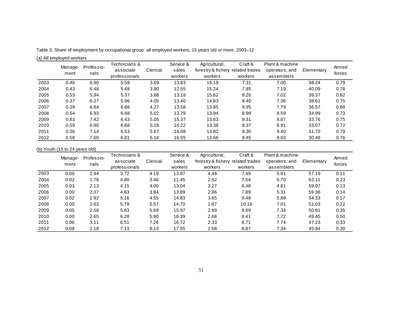|      | Manage- | Professio- | Technicians & |          | Service & | Agricultural.                     | Craft & | Plant & machine |            | Armed  |
|------|---------|------------|---------------|----------|-----------|-----------------------------------|---------|-----------------|------------|--------|
|      | ment    | nals       | associate     | Clerical | sales     | forestry & fishery related trades |         | operators, and  | Elementary | forces |
|      |         |            | professionals |          | workers   | workers                           | workers | assemblers      |            |        |
| 2003 | 0.46    | 6.90       | 5.59          | 3.69     | 13.83     | 16.19                             | 7.31    | 7.00            | 38.24      | 0.79   |
| 2004 | 0.43    | 6.48       | 5.48          | 3.90     | 12.55     | 15.24                             | 7.85    | 7.19            | 40.09      | 0.78   |
| 2005 | 0.53    | 5.94       | 5.37          | 3.88     | 13.18     | 15.62                             | 8.26    | 7.02            | 39.37      | 0.82   |
| 2006 | 0.37    | 6.27       | 5.96          | 4.05     | 13.40     | 14.83                             | 8.40    | 7.36            | 38.61      | 0.75   |
| 2007 | 0.39    | 6.84       | 6.88          | 4.27     | 13.58     | 13.85                             | 8.95    | 7.79            | 36.57      | 0.88   |
| 2008 | 0.54    | 6.93       | 6.48          | 5.02     | 13.79     | 13.94                             | 8.99    | 8.59            | 34.99      | 0.73   |
| 2009 | 0.63    | 7.42       | 6.43          | 5.05     | 15.37     | 13.63                             | 8.31    | 8.67            | 33.76      | 0.75   |
| 2010 | 0.59    | 6.90       | 6.68          | 5.16     | 16.22     | 13.38                             | 8.37    | 8.91            | 33.07      | 0.72   |
| 2011 | 0.56    | 7.14       | 6.53          | 5.67     | 16.08     | 13.82                             | 8.30    | 9.40            | 31.70      | 0.79   |
| 2012 | 0.58    | 7.60       | 6.81          | 6.18     | 16.55     | 13.66                             | 8.45    | 8.93            | 30.48      | 0.76   |

Table 3: Share of employment by occupational group: all employed workers, 15 years old or more, 2003–12

#### (b) Youth (15 to 24 years old)

(a) All employed workers

|      | Manage- | Professio- | Technicians & |          | Service & | Agricultural.                     | Craft & | Plant & machine |            | Armed  |
|------|---------|------------|---------------|----------|-----------|-----------------------------------|---------|-----------------|------------|--------|
|      | ment    | nals       | associate     | Clerical | sales     | forestry & fishery related trades |         | operators, and  | Elementary | forces |
|      |         |            | professionals |          | workers   | workers                           | workers | assemblers      |            |        |
| 2003 | 0.00    | 2.94       | 3.72          | 4.19     | 13.97     | 4.48                              | 7.49    | 5.91            | 57.19      | 0.11   |
| 2004 | 0.02    | 1.78       | 4.80          | 3.46     | 11.45     | 2.92                              | 7.54    | 5.70            | 62.11      | 0.23   |
| 2005 | 0.03    | 2.13       | 4.15          | 4.00     | 13.04     | 3.27                              | 8.48    | 4.81            | 59.97      | 0.13   |
| 2006 | 0.00    | 2.07       | 4.63          | 3.84     | 13.89     | 2.86                              | 7.89    | 5.31            | 59.36      | 0.14   |
| 2007 | 0.02    | 1.92       | 5.16          | 4.55     | 14.83     | 3.65                              | 9.48    | 5.88            | 54.33      | 0.17   |
| 2008 | 0.00    | 2.63       | 5.79          | 5.57     | 14.70     | 2.87                              | 10.18   | 7.01            | 51.03      | 0.22   |
| 2009 | 0.05    | 2.58       | 5.63          | 5.69     | 15.97     | 2.69                              | 8.89    | 7.34            | 50.81      | 0.35   |
| 2010 | 0.00    | 2.65       | 6.28          | 5.90     | 16.39     | 2.68                              | 8.41    | 7.72            | 49.45      | 0.50   |
| 2011 | 0.06    | 3.11       | 6.51          | 7.26     | 16.72     | 2.33                              | 8.71    | 7.74            | 47.23      | 0.33   |
| 2012 | 0.08    | 2.18       | 7.13          | 8.13     | 17.55     | 2.58                              | 8.87    | 7.34            | 45.84      | 0.30   |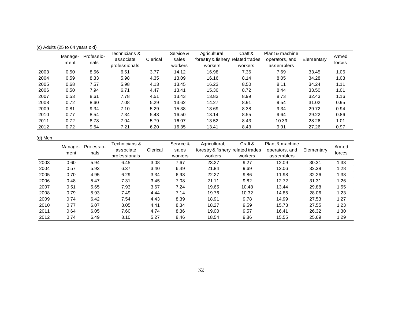|      | (c) Adults (25 to 64 years old) |                    |                                             |          |                               |                                                               |                    |                                                 |            |                 |
|------|---------------------------------|--------------------|---------------------------------------------|----------|-------------------------------|---------------------------------------------------------------|--------------------|-------------------------------------------------|------------|-----------------|
|      | Manage-<br>ment                 | Professio-<br>nals | Technicians &<br>associate<br>professionals | Clerical | Service &<br>sales<br>workers | Agricultural,<br>forestry & fishery related trades<br>workers | Craft &<br>workers | Plant & machine<br>operators, and<br>assemblers | Elementary | Armed<br>forces |
| 2003 | 0.50                            | 8.56               | 6.51                                        | 3.77     | 14.12                         | 16.98                                                         | 7.36               | 7.69                                            | 33.45      | 1.06            |
| 2004 | 0.59                            | 8.33               | 5.98                                        | 4.35     | 13.09                         | 16.16                                                         | 8.14               | 8.05                                            | 34.28      | 1.03            |
| 2005 | 0.68                            | 7.57               | 5.98                                        | 4.13     | 13.45                         | 16.23                                                         | 8.50               | 8.11                                            | 34.24      | 1.11            |
| 2006 | 0.50                            | 7.94               | 6.71                                        | 4.47     | 13.41                         | 15.30                                                         | 8.72               | 8.44                                            | 33.50      | 1.01            |
| 2007 | 0.53                            | 8.61               | 7.78                                        | 4.51     | 13.43                         | 13.83                                                         | 8.99               | 8.73                                            | 32.43      | 1.16            |
| 2008 | 0.72                            | 8.60               | 7.08                                        | 5.29     | 13.62                         | 14.27                                                         | 8.91               | 9.54                                            | 31.02      | 0.95            |
| 2009 | 0.81                            | 9.34               | 7.10                                        | 5.29     | 15.38                         | 13.69                                                         | 8.38               | 9.34                                            | 29.72      | 0.94            |
| 2010 | 0.77                            | 8.54               | 7.34                                        | 5.43     | 16.50                         | 13.14                                                         | 8.55               | 9.64                                            | 29.22      | 0.86            |
| 2011 | 0.72                            | 8.78               | 7.04                                        | 5.79     | 16.07                         | 13.52                                                         | 8.43               | 10.39                                           | 28.26      | 1.01            |
| 2012 | 0.72                            | 9.54               | 7.21                                        | 6.20     | 16.35                         | 13.41                                                         | 8.43               | 9.91                                            | 27.26      | 0.97            |

(d) Men

|      | Manage-<br>ment | Professio-<br>nals | Technicians &<br>associate<br>professionals | Clerical | Service &<br>sales<br>workers | Agricultural,<br>forestry & fishery related trades<br>workers | Craft &<br>workers | Plant & machine<br>operators, and<br>assemblers | Elementary | Armed<br>forces |
|------|-----------------|--------------------|---------------------------------------------|----------|-------------------------------|---------------------------------------------------------------|--------------------|-------------------------------------------------|------------|-----------------|
| 2003 | 0.60            | 5.94               | 6.45                                        | 3.08     | 7.67                          | 23.27                                                         | 9.27               | 12.09                                           | 30.31      | 1.33            |
|      |                 |                    |                                             |          |                               |                                                               |                    |                                                 |            |                 |
| 2004 | 0.57            | 5.93               | 6.37                                        | 3.40     | 6.49                          | 21.84                                                         | 9.69               | 12.06                                           | 32.38      | 1.28            |
| 2005 | 0.70            | 4.95               | 6.29                                        | 3.34     | 6.98                          | 22.27                                                         | 9.86               | 11.98                                           | 32.26      | 1.38            |
| 2006 | 0.48            | 5.47               | 7.31                                        | 3.45     | 7.08                          | 21.11                                                         | 9.82               | 12.72                                           | 31.31      | 1.26            |
| 2007 | 0.51            | 5.65               | 7.93                                        | 3.67     | 7.24                          | 19.65                                                         | 10.48              | 13.44                                           | 29.88      | 1.55            |
| 2008 | 0.79            | 5.93               | 7.49                                        | 4.44     | 7.14                          | 19.76                                                         | 10.32              | 14.85                                           | 28.06      | 1.23            |
| 2009 | 0.74            | 6.42               | 7.54                                        | 4.43     | 8.39                          | 18.91                                                         | 9.78               | 14.99                                           | 27.53      | 1.27            |
| 2010 | 0.77            | 6.07               | 8.05                                        | 4.41     | 8.34                          | 18.27                                                         | 9.59               | 15.73                                           | 27.55      | 1.23            |
| 2011 | 0.64            | 6.05               | 7.60                                        | 4.74     | 8.36                          | 19.00                                                         | 9.57               | 16.41                                           | 26.32      | 1.30            |
| 2012 | 0.74            | 6.49               | 8.10                                        | 5.27     | 8.46                          | 18.54                                                         | 9.86               | 15.55                                           | 25.69      | 1.29            |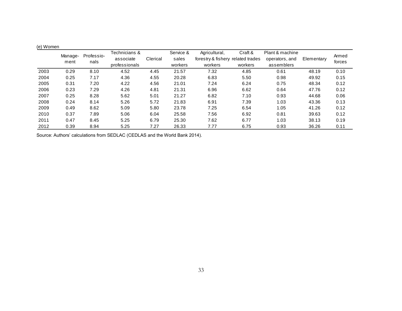| (e) Women |                 |                    |                                             |          |                               |                                                               |                    |                                                 |            |                 |
|-----------|-----------------|--------------------|---------------------------------------------|----------|-------------------------------|---------------------------------------------------------------|--------------------|-------------------------------------------------|------------|-----------------|
|           | Manage-<br>ment | Professio-<br>nals | Technicians &<br>associate<br>professionals | Clerical | Service &<br>sales<br>workers | Agricultural,<br>forestry & fishery related trades<br>workers | Craft &<br>workers | Plant & machine<br>operators, and<br>assemblers | Elementary | Armed<br>forces |
| 2003      | 0.29            | 8.10               | 4.52                                        | 4.45     | 21.57                         | 7.32                                                          | 4.85               | 0.61                                            | 48.19      | 0.10            |
| 2004      | 0.25            | 7.17               | 4.36                                        | 4.55     | 20.28                         | 6.83                                                          | 5.50               | 0.98                                            | 49.92      | 0.15            |
| 2005      | 0.31            | 7.20               | 4.22                                        | 4.56     | 21.01                         | 7.24                                                          | 6.24               | 0.75                                            | 48.34      | 0.12            |
| 2006      | 0.23            | 7.29               | 4.26                                        | 4.81     | 21.31                         | 6.96                                                          | 6.62               | 0.64                                            | 47.76      | 0.12            |
| 2007      | 0.25            | 8.28               | 5.62                                        | 5.01     | 21.27                         | 6.82                                                          | 7.10               | 0.93                                            | 44.68      | 0.06            |
| 2008      | 0.24            | 8.14               | 5.26                                        | 5.72     | 21.83                         | 6.91                                                          | 7.39               | 1.03                                            | 43.36      | 0.13            |
| 2009      | 0.49            | 8.62               | 5.09                                        | 5.80     | 23.78                         | 7.25                                                          | 6.54               | 1.05                                            | 41.26      | 0.12            |
| 2010      | 0.37            | 7.89               | 5.06                                        | 6.04     | 25.58                         | 7.56                                                          | 6.92               | 0.81                                            | 39.63      | 0.12            |
| 2011      | 0.47            | 8.45               | 5.25                                        | 6.79     | 25.30                         | 7.62                                                          | 6.77               | 1.03                                            | 38.13      | 0.19            |
| 2012      | 0.39            | 8.94               | 5.25                                        | 7.27     | 26.33                         | 7.77                                                          | 6.75               | 0.93                                            | 36.26      | 0.11            |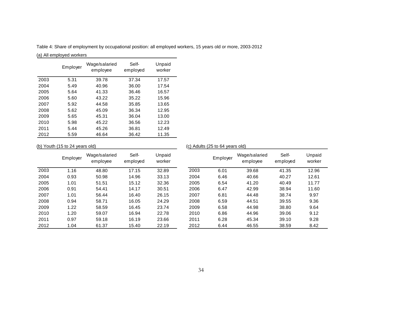|      | Employer | Wage/salaried<br>employee | Self-<br>employed | Unpaid<br>worker |
|------|----------|---------------------------|-------------------|------------------|
| 2003 | 5.31     | 39.78                     | 37.34             | 17.57            |
| 2004 | 5.49     | 40.96                     | 36.00             | 17.54            |
| 2005 | 5.64     | 41.33                     | 36.46             | 16.57            |
| 2006 | 5.60     | 43.22                     | 35.22             | 15.96            |
| 2007 | 5.92     | 44.58                     | 35.85             | 13.65            |
| 2008 | 5.62     | 45.09                     | 36.34             | 12.95            |
| 2009 | 5.65     | 45.31                     | 36.04             | 13.00            |
| 2010 | 5.98     | 45.22                     | 36.56             | 12.23            |
| 2011 | 5.44     | 45.26                     | 36.81             | 12.49            |
| 2012 | 5.59     | 46.64                     | 36.42             | 11.35            |

Table 4: Share of employment by occupational position: all employed workers, 15 years old or more, 2003-2012

(b) Youth (15 to 24 years old) (c) Adults (25 to 64 years old)

(a) All employed workers

|      | Employer | Wage/salaried<br>employee | Self-<br>employed | Unpaid<br>worker |      | Employer | Wage/salaried<br>employee | Self-<br>employed | Unpaid<br>worker |
|------|----------|---------------------------|-------------------|------------------|------|----------|---------------------------|-------------------|------------------|
| 2003 | 1.16     | 48.80                     | 17.15             | 32.89            | 2003 | 6.01     | 39.68                     | 41.35             | 12.96            |
| 2004 | 0.93     | 50.98                     | 14.96             | 33.13            | 2004 | 6.46     | 40.66                     | 40.27             | 12.61            |
| 2005 | 1.01     | 51.51                     | 15.12             | 32.36            | 2005 | 6.54     | 41.20                     | 40.49             | 11.77            |
| 2006 | 0.91     | 54.41                     | 14.17             | 30.51            | 2006 | 6.47     | 42.99                     | 38.94             | 11.60            |
| 2007 | 1.01     | 56.44                     | 16.40             | 26.15            | 2007 | 6.81     | 44.48                     | 38.74             | 9.97             |
| 2008 | 0.94     | 58.71                     | 16.05             | 24.29            | 2008 | 6.59     | 44.51                     | 39.55             | 9.36             |
| 2009 | 1.22     | 58.59                     | 16.45             | 23.74            | 2009 | 6.58     | 44.98                     | 38.80             | 9.64             |
| 2010 | 1.20     | 59.07                     | 16.94             | 22.78            | 2010 | 6.86     | 44.96                     | 39.06             | 9.12             |
| 2011 | 0.97     | 59.18                     | 16.19             | 23.66            | 2011 | 6.28     | 45.34                     | 39.10             | 9.28             |
| 2012 | 1.04     | 61.37                     | 15.40             | 22.19            | 2012 | 6.44     | 46.55                     | 38.59             | 8.42             |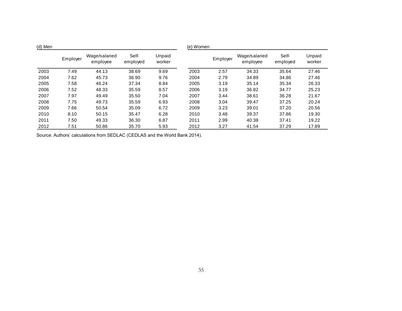| (d) Men |          |                           |                   |                  | (e) Women |          |                           |                   |                  |
|---------|----------|---------------------------|-------------------|------------------|-----------|----------|---------------------------|-------------------|------------------|
|         | Employer | Wage/salaried<br>employee | Self-<br>employed | Unpaid<br>worker |           | Employer | Wage/salaried<br>employee | Self-<br>employed | Unpaid<br>worker |
| 2003    | 7.49     | 44.13                     | 38.69             | 9.69             | 2003      | 2.57     | 34.33                     | 35.64             | 27.46            |
| 2004    | 7.62     | 45.73                     | 36.90             | 9.76             | 2004      | 2.79     | 34.89                     | 34.86             | 27.46            |
| 2005    | 7.58     | 46.24                     | 37.34             | 8.84             | 2005      | 3.19     | 35.14                     | 35.34             | 26.33            |
| 2006    | 7.52     | 48.33                     | 35.59             | 8.57             | 2006      | 3.19     | 36.82                     | 34.77             | 25.23            |
| 2007    | 7.97     | 49.49                     | 35.50             | 7.04             | 2007      | 3.44     | 38.61                     | 36.28             | 21.67            |
| 2008    | 7.75     | 49.73                     | 35.59             | 6.93             | 2008      | 3.04     | 39.47                     | 37.25             | 20.24            |
| 2009    | 7.66     | 50.54                     | 35.09             | 6.72             | 2009      | 3.23     | 39.01                     | 37.20             | 20.56            |
| 2010    | 8.10     | 50.15                     | 35.47             | 6.28             | 2010      | 3.48     | 39.37                     | 37.86             | 19.30            |
| 2011    | 7.50     | 49.33                     | 36.30             | 6.87             | 2011      | 2.99     | 40.38                     | 37.41             | 19.22            |
| 2012    | 7.51     | 50.86                     | 35.70             | 5.93             | 2012      | 3.27     | 41.54                     | 37.29             | 17.89            |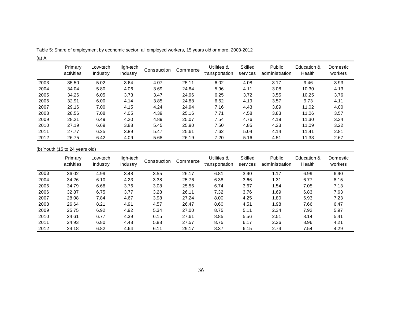| $(a)$ All |                       |                      |                       |              |          |                               |                            |                          |                       |                     |
|-----------|-----------------------|----------------------|-----------------------|--------------|----------|-------------------------------|----------------------------|--------------------------|-----------------------|---------------------|
|           | Primary<br>activities | Low-tech<br>Industry | High-tech<br>Industry | Construction | Commerce | Utilities &<br>transportation | <b>Skilled</b><br>services | Public<br>administration | Education &<br>Health | Domestic<br>workers |
| 2003      | 35.50                 | 5.02                 | 3.64                  | 4.07         | 25.11    | 6.02                          | 4.08                       | 3.17                     | 9.46                  | 3.93                |
| 2004      | 34.04                 | 5.80                 | 4.06                  | 3.69         | 24.84    | 5.96                          | 4.11                       | 3.08                     | 10.30                 | 4.13                |
| 2005      | 34.26                 | 6.05                 | 3.73                  | 3.47         | 24.96    | 6.25                          | 3.72                       | 3.55                     | 10.25                 | 3.76                |
| 2006      | 32.91                 | 6.00                 | 4.14                  | 3.85         | 24.88    | 6.62                          | 4.19                       | 3.57                     | 9.73                  | 4.11                |
| 2007      | 29.16                 | 7.00                 | 4.15                  | 4.24         | 24.94    | 7.16                          | 4.43                       | 3.89                     | 11.02                 | 4.00                |
| 2008      | 28.56                 | 7.08                 | 4.05                  | 4.39         | 25.16    | 7.71                          | 4.58                       | 3.83                     | 11.06                 | 3.57                |
| 2009      | 28.21                 | 6.49                 | 4.20                  | 4.89         | 25.07    | 7.54                          | 4.76                       | 4.19                     | 11.30                 | 3.34                |
| 2010      | 27.19                 | 6.69                 | 3.88                  | 5.45         | 25.90    | 7.50                          | 4.85                       | 4.23                     | 11.09                 | 3.22                |
| 2011      | 27.77                 | 6.25                 | 3.89                  | 5.47         | 25.61    | 7.62                          | 5.04                       | 4.14                     | 11.41                 | 2.81                |
| 2012      | 26.75                 | 6.42                 | 4.09                  | 5.68         | 26.19    | 7.20                          | 5.16                       | 4.51                     | 11.33                 | 2.67                |

Table 5: Share of employment by economic sector: all employed workers, 15 years old or more, 2003-2012

(a) All

#### (b) Youth (15 to 24 years old)

|      | Primary<br>activities | Low-tech<br>Industry | High-tech<br>Industry | Construction | Commerce | Utilities &<br>transportation | Skilled<br>services | <b>Public</b><br>administration | Education &<br>Health | Domestic<br>workers |
|------|-----------------------|----------------------|-----------------------|--------------|----------|-------------------------------|---------------------|---------------------------------|-----------------------|---------------------|
| 2003 | 36.02                 | 4.99                 | 3.48                  | 3.55         | 26.17    | 6.81                          | 3.90                | 1.17                            | 6.99                  | 6.90                |
| 2004 | 34.26                 | 6.10                 | 4.23                  | 3.38         | 25.76    | 6.38                          | 3.66                | 1.31                            | 6.77                  | 8.15                |
| 2005 | 34.79                 | 6.68                 | 3.76                  | 3.08         | 25.56    | 6.74                          | 3.67                | 1.54                            | 7.05                  | 7.13                |
| 2006 | 32.87                 | 6.75                 | 3.77                  | 3.28         | 26.11    | 7.32                          | 3.76                | 1.69                            | 6.83                  | 7.63                |
| 2007 | 28.08                 | 7.84                 | 4.67                  | 3.98         | 27.24    | 8.00                          | 4.25                | 1.80                            | 6.93                  | 7.23                |
| 2008 | 26.64                 | 8.21                 | 4.91                  | 4.57         | 26.47    | 8.60                          | 4.51                | 1.98                            | 7.66                  | 6.47                |
| 2009 | 25.75                 | 6.92                 | 4.92                  | 5.34         | 27.00    | 8.75                          | 5.11                | 2.34                            | 7.92                  | 5.97                |
| 2010 | 24.61                 | 6.77                 | 4.39                  | 6.15         | 27.61    | 8.85                          | 5.56                | 2.51                            | 8.14                  | 5.41                |
| 2011 | 24.93                 | 6.80                 | 4.48                  | 5.88         | 27.57    | 8.75                          | 6.17                | 2.26                            | 8.96                  | 4.21                |
| 2012 | 24.18                 | 6.82                 | 4.64                  | 6.11         | 29.17    | 8.37                          | 6.15                | 2.74                            | 7.54                  | 4.29                |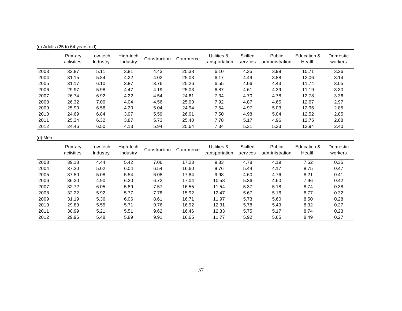|      | Primary<br>activities | Low-tech<br>Industry | High-tech<br>Industry | Construction | Commerce | Utilities &<br>transportation | Skilled<br>services | <b>Public</b><br>administration | Education &<br>Health | Domestic<br>workers |
|------|-----------------------|----------------------|-----------------------|--------------|----------|-------------------------------|---------------------|---------------------------------|-----------------------|---------------------|
| 2003 | 32.87                 | 5.11                 | 3.81                  | 4.43         | 25.38    | 6.10                          | 4.35                | 3.99                            | 10.71                 | 3.26                |
| 2004 | 31.15                 | 5.84                 | 4.22                  | 4.02         | 25.03    | 6.17                          | 4.49                | 3.88                            | 12.06                 | 3.14                |
| 2005 | 31.17                 | 6.10                 | 3.87                  | 3.76         | 25.26    | 6.55                          | 4.06                | 4.43                            | 11.74                 | 3.05                |
| 2006 | 29.97                 | 5.98                 | 4.47                  | 4.19         | 25.03    | 6.87                          | 4.61                | 4.39                            | 11.19                 | 3.30                |
| 2007 | 26.74                 | 6.92                 | 4.22                  | 4.54         | 24.61    | 7.34                          | 4.70                | 4.78                            | 12.78                 | 3.36                |
| 2008 | 26.32                 | 7.00                 | 4.04                  | 4.56         | 25.00    | 7.92                          | 4.87                | 4.65                            | 12.67                 | 2.97                |
| 2009 | 25.90                 | 6.56                 | 4.20                  | 5.04         | 24.94    | 7.54                          | 4.97                | 5.03                            | 12.96                 | 2.85                |
| 2010 | 24.69                 | 6.84                 | 3.97                  | 5.59         | 26.01    | 7.50                          | 4.98                | 5.04                            | 12.52                 | 2.85                |
| 2011 | 25.34                 | 6.32                 | 3.87                  | 5.73         | 25.40    | 7.78                          | 5.17                | 4.96                            | 12.75                 | 2.68                |
| 2012 | 24.46                 | 6.50                 | 4.13                  | 5.94         | 25.64    | 7.34                          | 5.31                | 5.33                            | 12.94                 | 2.40                |

### (c) Adults (25 to 64 years old)

#### (d) Men

|      | Primary<br>activities | Low-tech<br>Industry | High-tech<br>Industry | Construction | Commerce | Utilities &<br>transportation | <b>Skilled</b><br>services | Public<br>administration | Education &<br>Health | Domestic<br>workers |
|------|-----------------------|----------------------|-----------------------|--------------|----------|-------------------------------|----------------------------|--------------------------|-----------------------|---------------------|
| 2003 | 39.18                 | 4.44                 | 5.42                  | 7.06         | 17.23    | 9.83                          | 4.78                       | 4.19                     | 7.52                  | 0.35                |
| 2004 | 37.20                 | 5.02                 | 6.04                  | 6.54         | 16.60    | 9.76                          | 5.44                       | 4.17                     | 8.75                  | 0.47                |
| 2005 | 37.50                 | 5.08                 | 5.54                  | 6.08         | 17.84    | 9.98                          | 4.60                       | 4.76                     | 8.21                  | 0.41                |
| 2006 | 36.20                 | 4.90                 | 6.20                  | 6.72         | 17.04    | 10.58                         | 5.36                       | 4.60                     | 7.96                  | 0.42                |
| 2007 | 32.72                 | 6.05                 | 5.89                  | 7.57         | 16.55    | 11.54                         | 5.37                       | 5.18                     | 8.74                  | 0.38                |
| 2008 | 32.22                 | 5.92                 | 5.77                  | 7.78         | 15.92    | 12.47                         | 5.67                       | 5.16                     | 8.77                  | 0.32                |
| 2009 | 31.19                 | 5.36                 | 6.06                  | 8.61         | 16.71    | 11.97                         | 5.73                       | 5.60                     | 8.50                  | 0.28                |
| 2010 | 29.89                 | 5.55                 | 5.71                  | 9.76         | 16.92    | 12.31                         | 5.78                       | 5.49                     | 8.32                  | 0.27                |
| 2011 | 30.99                 | 5.21                 | 5.51                  | 9.62         | 16.46    | 12.33                         | 5.75                       | 5.17                     | 8.74                  | 0.23                |
| 2012 | 29.96                 | 5.48                 | 5.89                  | 9.91         | 16.65    | 11.77                         | 5.92                       | 5.65                     | 8.49                  | 0.27                |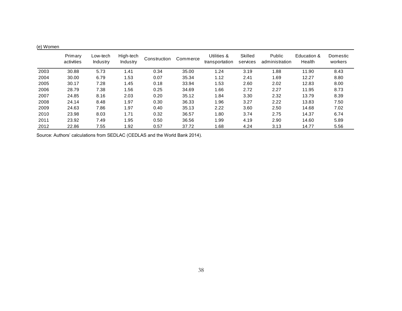| (e) Women |                       |                      |                       |              |          |                               |                     |                          |                       |                     |
|-----------|-----------------------|----------------------|-----------------------|--------------|----------|-------------------------------|---------------------|--------------------------|-----------------------|---------------------|
|           | Primary<br>activities | Low-tech<br>Industry | High-tech<br>Industry | Construction | Commerce | Utilities &<br>transportation | Skilled<br>services | Public<br>administration | Education &<br>Health | Domestic<br>workers |
| 2003      | 30.88                 | 5.73                 | 1.41                  | 0.34         | 35.00    | 1.24                          | 3.19                | 1.88                     | 11.90                 | 8.43                |
| 2004      | 30.00                 | 6.79                 | 1.53                  | 0.07         | 35.34    | 1.12                          | 2.41                | 1.69                     | 12.27                 | 8.80                |
| 2005      | 30.17                 | 7.28                 | 1.45                  | 0.18         | 33.94    | 1.53                          | 2.60                | 2.02                     | 12.83                 | 8.00                |
| 2006      | 28.79                 | 7.38                 | 1.56                  | 0.25         | 34.69    | 1.66                          | 2.72                | 2.27                     | 11.95                 | 8.73                |
| 2007      | 24.85                 | 8.16                 | 2.03                  | 0.20         | 35.12    | 1.84                          | 3.30                | 2.32                     | 13.79                 | 8.39                |
| 2008      | 24.14                 | 8.48                 | 1.97                  | 0.30         | 36.33    | 1.96                          | 3.27                | 2.22                     | 13.83                 | 7.50                |
| 2009      | 24.63                 | 7.86                 | 1.97                  | 0.40         | 35.13    | 2.22                          | 3.60                | 2.50                     | 14.68                 | 7.02                |
| 2010      | 23.98                 | 8.03                 | 1.71                  | 0.32         | 36.57    | 1.80                          | 3.74                | 2.75                     | 14.37                 | 6.74                |
| 2011      | 23.92                 | 7.49                 | 1.95                  | 0.50         | 36.56    | 1.99                          | 4.19                | 2.90                     | 14.60                 | 5.89                |
| 2012      | 22.86                 | 7.55                 | 1.92                  | 0.57         | 37.72    | 1.68                          | 4.24                | 3.13                     | 14.77                 | 5.56                |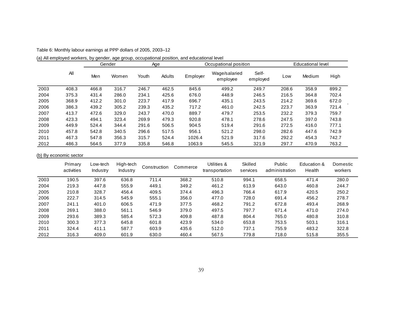|      |       |       | Gender |       | Age    |          | Occupational position     |                   |       | Educational level |       |
|------|-------|-------|--------|-------|--------|----------|---------------------------|-------------------|-------|-------------------|-------|
|      | All   | Men   | Women  | Youth | Adults | Employer | Wage/salaried<br>employee | Self-<br>employed | Low   | Medium            | High  |
| 2003 | 408.3 | 466.8 | 316.7  | 246.7 | 462.5  | 845.6    | 499.2                     | 249.7             | 208.6 | 358.9             | 899.2 |
| 2004 | 375.3 | 431.4 | 286.0  | 234.1 | 425.6  | 676.0    | 448.9                     | 246.5             | 216.5 | 364.8             | 702.4 |
| 2005 | 368.9 | 412.2 | 301.0  | 223.7 | 417.9  | 696.7    | 435.1                     | 243.5             | 214.2 | 369.6             | 672.0 |
| 2006 | 386.3 | 439.2 | 305.2  | 239.3 | 435.2  | 717.2    | 461.0                     | 242.5             | 223.7 | 363.9             | 721.4 |
| 2007 | 413.7 | 472.6 | 329.0  | 243.7 | 470.0  | 889.7    | 479.7                     | 253.5             | 232.2 | 379.3             | 759.7 |
| 2008 | 423.3 | 494.1 | 323.4  | 269.9 | 479.3  | 920.8    | 478.1                     | 278.6             | 247.5 | 397.0             | 743.8 |
| 2009 | 449.9 | 524.4 | 344.4  | 291.6 | 506.5  | 904.5    | 519.4                     | 291.6             | 272.5 | 416.0             | 777.1 |
| 2010 | 457.8 | 542.8 | 340.5  | 296.6 | 517.5  | 956.1    | 521.2                     | 298.0             | 282.6 | 447.6             | 742.9 |
| 2011 | 467.3 | 547.8 | 356.3  | 315.7 | 524.4  | 1026.4   | 521.9                     | 317.6             | 292.2 | 454.3             | 742.7 |
| 2012 | 486.3 | 564.5 | 377.9  | 335.8 | 546.8  | 1063.9   | 545.5                     | 321.9             | 297.7 | 470.9             | 763.2 |

Table 6: Monthly labour earnings at PPP dollars of 2005, 2003–12

|  |  |  |  |  |  |  | (a) All employed workers, by gender, age group, occupational position, and educational level |  |
|--|--|--|--|--|--|--|----------------------------------------------------------------------------------------------|--|
|  |  |  |  |  |  |  |                                                                                              |  |

#### (b) By economic sector

|      | Primary<br>activities | Low-tech<br>Industry | High-tech<br>Industry | Construction | Commerce | Utilities &<br>transportation | Skilled<br>services | Public<br>administration | Education &<br>Health | Domestic<br>workers |
|------|-----------------------|----------------------|-----------------------|--------------|----------|-------------------------------|---------------------|--------------------------|-----------------------|---------------------|
| 2003 | 190.5                 | 397.6                | 636.8                 | 711.4        | 368.2    | 510.8                         | 994.1               | 658.5                    | 471.4                 | 280.0               |
| 2004 | 219.3                 | 447.8                | 555.9                 | 449.1        | 349.2    | 461.2                         | 613.9               | 643.0                    | 460.8                 | 244.7               |
| 2005 | 210.8                 | 328.7                | 456.4                 | 409.5        | 374.4    | 496.3                         | 766.4               | 617.9                    | 420.5                 | 250.2               |
| 2006 | 222.7                 | 314.5                | 545.9                 | 555.1        | 356.0    | 477.0                         | 728.0               | 691.4                    | 456.2                 | 278.7               |
| 2007 | 241.1                 | 401.0                | 606.5                 | 471.9        | 377.5    | 468.2                         | 791.2               | 672.8                    | 493.4                 | 268.9               |
| 2008 | 269.1                 | 388.0                | 561.1                 | 546.9        | 379.0    | 497.5                         | 797.7               | 671.4                    | 471.0                 | 274.0               |
| 2009 | 293.6                 | 389.3                | 585.4                 | 572.3        | 409.8    | 487.8                         | 804.4               | 765.0                    | 480.8                 | 310.8               |
| 2010 | 300.3                 | 377.3                | 645.8                 | 601.8        | 423.9    | 534.0                         | 653.8               | 753.5                    | 503.1                 | 316.1               |
| 2011 | 324.4                 | 411.1                | 587.7                 | 603.9        | 435.6    | 512.0                         | 737.1               | 755.9                    | 483.2                 | 322.8               |
| 2012 | 316.3                 | 409.0                | 601.9                 | 630.0        | 460.4    | 567.5                         | 779.8               | 718.0                    | 515.8                 | 355.5               |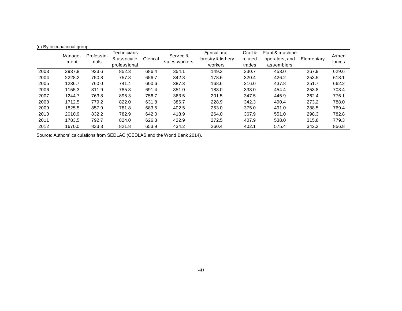|      | (c) By occupational group |                    |                                                   |          |                            |                                                |                              |                                                 |            |                 |  |
|------|---------------------------|--------------------|---------------------------------------------------|----------|----------------------------|------------------------------------------------|------------------------------|-------------------------------------------------|------------|-----------------|--|
|      | Manage-<br>ment           | Professio-<br>nals | <b>Technicians</b><br>& associate<br>professional | Clerical | Service &<br>sales workers | Agricultural,<br>forestry & fishery<br>workers | Craft &<br>related<br>trades | Plant & machine<br>operators, and<br>assemblers | Elementary | Armed<br>forces |  |
| 2003 | 2937.8                    | 933.6              | 852.3                                             | 686.4    | 354.1                      | 149.3                                          | 330.7                        | 453.0                                           | 267.9      | 629.6           |  |
| 2004 | 2228.2                    | 750.8              | 757.8                                             | 656.7    | 342.8                      | 178.6                                          | 320.4                        | 426.2                                           | 253.5      | 618.1           |  |
| 2005 | 1236.7                    | 760.0              | 741.4                                             | 600.6    | 387.3                      | 168.6                                          | 316.0                        | 437.8                                           | 251.7      | 662.2           |  |
| 2006 | 1155.3                    | 811.9              | 785.8                                             | 691.4    | 351.0                      | 183.0                                          | 333.0                        | 454.4                                           | 253.8      | 708.4           |  |
| 2007 | 1244.7                    | 763.8              | 895.3                                             | 756.7    | 363.5                      | 201.5                                          | 347.5                        | 445.9                                           | 262.4      | 776.1           |  |
| 2008 | 1712.5                    | 779.2              | 822.0                                             | 631.8    | 386.7                      | 228.9                                          | 342.3                        | 490.4                                           | 273.2      | 788.0           |  |
| 2009 | 1825.5                    | 857.9              | 781.8                                             | 683.5    | 402.5                      | 253.0                                          | 375.0                        | 491.0                                           | 288.5      | 769.4           |  |
| 2010 | 2010.9                    | 832.2              | 782.9                                             | 642.0    | 418.9                      | 264.0                                          | 367.9                        | 551.0                                           | 298.3      | 782.8           |  |
| 2011 | 1783.5                    | 792.7              | 824.0                                             | 626.3    | 422.9                      | 272.5                                          | 407.9                        | 538.0                                           | 315.8      | 779.3           |  |
| 2012 | 1670.0                    | 833.3              | 821.8                                             | 653.9    | 434.2                      | 260.4                                          | 402.1                        | 575.4                                           | 342.2      | 856.8           |  |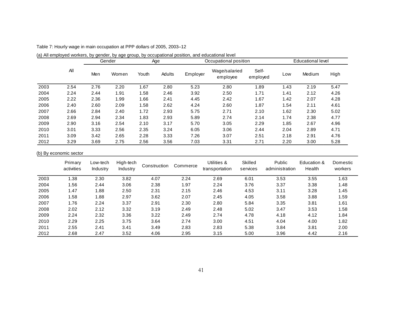|      |      |      | Gender |       | Age    |          | Occupational position     |                   |      | Educational level |      |
|------|------|------|--------|-------|--------|----------|---------------------------|-------------------|------|-------------------|------|
|      | All  | Men  | Women  | Youth | Adults | Employer | Wage/salaried<br>employee | Self-<br>employed | Low  | Medium            | High |
| 2003 | 2.54 | 2.76 | 2.20   | 1.67  | 2.80   | 5.23     | 2.80                      | 1.89              | 1.43 | 2.19              | 5.47 |
| 2004 | 2.24 | 2.44 | 1.91   | 1.58  | 2.46   | 3.92     | 2.50                      | 1.71              | 1.41 | 2.12              | 4.26 |
| 2005 | 2.22 | 2.36 | 1.99   | 1.66  | 2.41   | 4.45     | 2.42                      | 1.67              | 1.42 | 2.07              | 4.28 |
| 2006 | 2.40 | 2.60 | 2.09   | 1.58  | 2.62   | 4.24     | 2.60                      | 1.87              | 1.54 | 2.11              | 4.61 |
| 2007 | 2.66 | 2.84 | 2.40   | 1.72  | 2.93   | 5.75     | 2.71                      | 2.10              | 1.62 | 2.30              | 5.02 |
| 2008 | 2.69 | 2.94 | 2.34   | 1.83  | 2.93   | 5.89     | 2.74                      | 2.14              | 1.74 | 2.38              | 4.77 |
| 2009 | 2.90 | 3.16 | 2.54   | 2.10  | 3.17   | 5.70     | 3.05                      | 2.29              | 1.85 | 2.67              | 4.96 |
| 2010 | 3.01 | 3.33 | 2.56   | 2.35  | 3.24   | 6.05     | 3.06                      | 2.44              | 2.04 | 2.89              | 4.71 |
| 2011 | 3.09 | 3.42 | 2.65   | 2.28  | 3.33   | 7.26     | 3.07                      | 2.51              | 2.18 | 2.91              | 4.76 |
| 2012 | 3.29 | 3.69 | 2.75   | 2.56  | 3.56   | 7.03     | 3.31                      | 2.71              | 2.20 | 3.00              | 5.28 |

Table 7: Hourly wage in main occupation at PPP dollars of 2005, 2003–12

| Table 1. Hodify wage in main occupation at FTT abilities of 2000, 2000 TE                          |  |
|----------------------------------------------------------------------------------------------------|--|
| (a) All employed workers, by gender, by age group, by occupational position, and educational level |  |

#### (b) By economic sector

|      | Primary<br>activities | Low-tech<br>Industry | High-tech<br>Industry | Construction | Commerce | Utilities &<br>transportation | Skilled<br>services | Public<br>administration | Education &<br>Health | Domestic<br>workers |
|------|-----------------------|----------------------|-----------------------|--------------|----------|-------------------------------|---------------------|--------------------------|-----------------------|---------------------|
| 2003 | 1.38                  | 2.30                 | 3.82                  | 4.07         | 2.24     | 2.69                          | 6.01                | 3.53                     | 3.55                  | 1.63                |
| 2004 | 1.56                  | 2.44                 | 3.06                  | 2.38         | 1.97     | 2.24                          | 3.76                | 3.37                     | 3.38                  | 1.48                |
| 2005 | 1.47                  | 1.88                 | 2.50                  | 2.31         | 2.15     | 2.46                          | 4.53                | 3.11                     | 3.28                  | 1.45                |
| 2006 | 1.58                  | 1.88                 | 2.97                  | 3.62         | 2.07     | 2.45                          | 4.05                | 3.58                     | 3.88                  | 1.59                |
| 2007 | 1.76                  | 2.24                 | 3.37                  | 2.91         | 2.30     | 2.80                          | 5.84                | 3.35                     | 3.81                  | 1.61                |
| 2008 | 2.02                  | 2.12                 | 3.32                  | 3.19         | 2.49     | 2.48                          | 5.02                | 3.47                     | 3.53                  | 1.58                |
| 2009 | 2.24                  | 2.32                 | 3.36                  | 3.22         | 2.49     | 2.74                          | 4.78                | 4.18                     | 4.12                  | 1.84                |
| 2010 | 2.29                  | 2.25                 | 3.75                  | 3.64         | 2.74     | 3.00                          | 4.51                | 4.04                     | 4.00                  | 1.82                |
| 2011 | 2.55                  | 2.41                 | 3.41                  | 3.49         | 2.83     | 2.83                          | 5.38                | 3.84                     | 3.81                  | 2.00                |
| 2012 | 2.68                  | 2.47                 | 3.52                  | 4.06         | 2.95     | 3.15                          | 5.00                | 3.96                     | 4.42                  | 2.16                |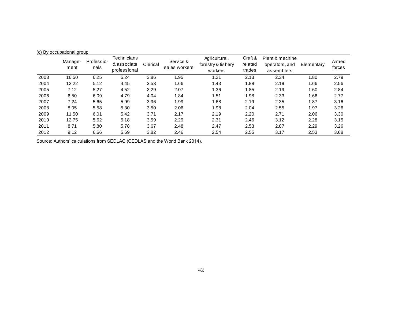#### (c) By occupational group

|      | Manage-<br>ment | Professio-<br>nals | Technicians<br>& associate<br>professional | Clerical | Service &<br>sales workers | Agricultural,<br>forestry & fishery<br>workers | Craft &<br>related<br>trades | Plant & machine<br>operators, and<br>assemblers | Elementary | Armed<br>forces |
|------|-----------------|--------------------|--------------------------------------------|----------|----------------------------|------------------------------------------------|------------------------------|-------------------------------------------------|------------|-----------------|
| 2003 | 16.50           | 6.25               | 5.24                                       | 3.86     | 1.95                       | 1.21                                           | 2.13                         | 2.34                                            | 1.80       | 2.79            |
| 2004 | 12.22           | 5.12               | 4.45                                       | 3.53     | 1.66                       | 1.43                                           | 1.88                         | 2.19                                            | 1.66       | 2.56            |
| 2005 | 7.12            | 5.27               | 4.52                                       | 3.29     | 2.07                       | 1.36                                           | 1.85                         | 2.19                                            | 1.60       | 2.84            |
| 2006 | 6.50            | 6.09               | 4.79                                       | 4.04     | 1.84                       | 1.51                                           | 1.98                         | 2.33                                            | 1.66       | 2.77            |
| 2007 | 7.24            | 5.65               | 5.99                                       | 3.96     | 1.99                       | 1.68                                           | 2.19                         | 2.35                                            | 1.87       | 3.16            |
| 2008 | 8.05            | 5.58               | 5.30                                       | 3.50     | 2.06                       | 1.98                                           | 2.04                         | 2.55                                            | 1.97       | 3.26            |
| 2009 | 11.50           | 6.01               | 5.42                                       | 3.71     | 2.17                       | 2.19                                           | 2.20                         | 2.71                                            | 2.06       | 3.30            |
| 2010 | 12.75           | 5.62               | 5.18                                       | 3.59     | 2.29                       | 2.31                                           | 2.46                         | 3.12                                            | 2.28       | 3.15            |
| 2011 | 8.71            | 5.80               | 5.78                                       | 3.67     | 2.48                       | 2.47                                           | 2.53                         | 2.87                                            | 2.29       | 3.26            |
| 2012 | 9.12            | 6.66               | 5.69                                       | 3.82     | 2.46                       | 2.54                                           | 2.55                         | 3.17                                            | 2.53       | 3.68            |